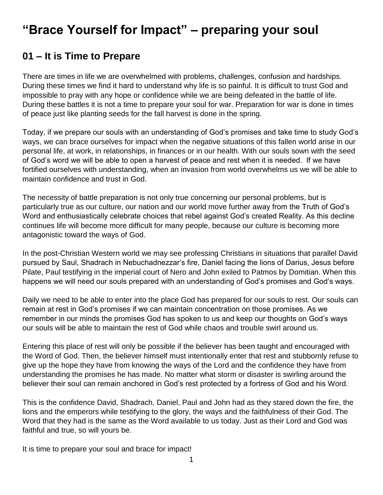# **"Brace Yourself for Impact" – preparing your soul**

## **01 – It is Time to Prepare**

There are times in life we are overwhelmed with problems, challenges, confusion and hardships. During these times we find it hard to understand why life is so painful. It is difficult to trust God and impossible to pray with any hope or confidence while we are being defeated in the battle of life. During these battles it is not a time to prepare your soul for war. Preparation for war is done in times of peace just like planting seeds for the fall harvest is done in the spring.

Today, if we prepare our souls with an understanding of God's promises and take time to study God's ways, we can brace ourselves for impact when the negative situations of this fallen world arise in our personal life, at work, in relationships, in finances or in our health. With our souls sown with the seed of God's word we will be able to open a harvest of peace and rest when it is needed. If we have fortified ourselves with understanding, when an invasion from world overwhelms us we will be able to maintain confidence and trust in God.

The necessity of battle preparation is not only true concerning our personal problems, but is particularly true as our culture, our nation and our world move further away from the Truth of God's Word and enthusiastically celebrate choices that rebel against God's created Reality. As this decline continues life will become more difficult for many people, because our culture is becoming more antagonistic toward the ways of God.

In the post-Christian Western world we may see professing Christians in situations that parallel David pursued by Saul, Shadrach in Nebuchadnezzar's fire, Daniel facing the lions of Darius, Jesus before Pilate, Paul testifying in the imperial court of Nero and John exiled to Patmos by Domitian. When this happens we will need our souls prepared with an understanding of God's promises and God's ways.

Daily we need to be able to enter into the place God has prepared for our souls to rest. Our souls can remain at rest in God's promises if we can maintain concentration on those promises. As we remember in our minds the promises God has spoken to us and keep our thoughts on God's ways our souls will be able to maintain the rest of God while chaos and trouble swirl around us.

Entering this place of rest will only be possible if the believer has been taught and encouraged with the Word of God. Then, the believer himself must intentionally enter that rest and stubbornly refuse to give up the hope they have from knowing the ways of the Lord and the confidence they have from understanding the promises he has made. No matter what storm or disaster is swirling around the believer their soul can remain anchored in God's rest protected by a fortress of God and his Word.

This is the confidence David, Shadrach, Daniel, Paul and John had as they stared down the fire, the lions and the emperors while testifying to the glory, the ways and the faithfulness of their God. The Word that they had is the same as the Word available to us today. Just as their Lord and God was faithful and true, so will yours be.

It is time to prepare your soul and brace for impact!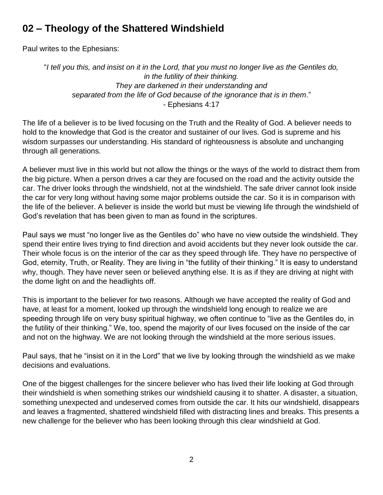## **02 – Theology of the Shattered Windshield**

Paul writes to the Ephesians:

"*I tell you this, and insist on it in the Lord, that you must no longer live as the Gentiles do, in the futility of their thinking. They are darkened in their understanding and separated from the life of God because of the ignorance that is in them*." - Ephesians 4:17

The life of a believer is to be lived focusing on the Truth and the Reality of God. A believer needs to hold to the knowledge that God is the creator and sustainer of our lives. God is supreme and his wisdom surpasses our understanding. His standard of righteousness is absolute and unchanging through all generations.

A believer must live in this world but not allow the things or the ways of the world to distract them from the big picture. When a person drives a car they are focused on the road and the activity outside the car. The driver looks through the windshield, not at the windshield. The safe driver cannot look inside the car for very long without having some major problems outside the car. So it is in comparison with the life of the believer. A believer is inside the world but must be viewing life through the windshield of God's revelation that has been given to man as found in the scriptures.

Paul says we must "no longer live as the Gentiles do" who have no view outside the windshield. They spend their entire lives trying to find direction and avoid accidents but they never look outside the car. Their whole focus is on the interior of the car as they speed through life. They have no perspective of God, eternity, Truth, or Reality. They are living in "the futility of their thinking." It is easy to understand why, though. They have never seen or believed anything else. It is as if they are driving at night with the dome light on and the headlights off.

This is important to the believer for two reasons. Although we have accepted the reality of God and have, at least for a moment, looked up through the windshield long enough to realize we are speeding through life on very busy spiritual highway, we often continue to "live as the Gentiles do, in the futility of their thinking." We, too, spend the majority of our lives focused on the inside of the car and not on the highway. We are not looking through the windshield at the more serious issues.

Paul says, that he "insist on it in the Lord" that we live by looking through the windshield as we make decisions and evaluations.

One of the biggest challenges for the sincere believer who has lived their life looking at God through their windshield is when something strikes our windshield causing it to shatter. A disaster, a situation, something unexpected and undeserved comes from outside the car. It hits our windshield, disappears and leaves a fragmented, shattered windshield filled with distracting lines and breaks. This presents a new challenge for the believer who has been looking through this clear windshield at God.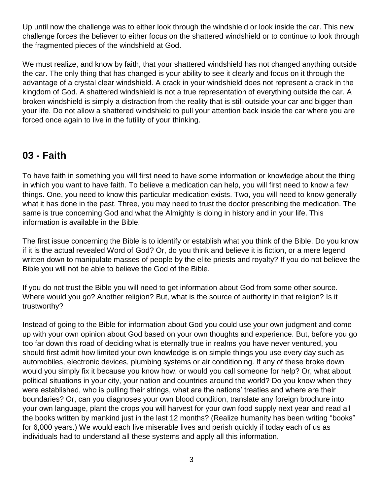Up until now the challenge was to either look through the windshield or look inside the car. This new challenge forces the believer to either focus on the shattered windshield or to continue to look through the fragmented pieces of the windshield at God.

We must realize, and know by faith, that your shattered windshield has not changed anything outside the car. The only thing that has changed is your ability to see it clearly and focus on it through the advantage of a crystal clear windshield. A crack in your windshield does not represent a crack in the kingdom of God. A shattered windshield is not a true representation of everything outside the car. A broken windshield is simply a distraction from the reality that is still outside your car and bigger than your life. Do not allow a shattered windshield to pull your attention back inside the car where you are forced once again to live in the futility of your thinking.

### **03 - Faith**

To have faith in something you will first need to have some information or knowledge about the thing in which you want to have faith. To believe a medication can help, you will first need to know a few things. One, you need to know this particular medication exists. Two, you will need to know generally what it has done in the past. Three, you may need to trust the doctor prescribing the medication. The same is true concerning God and what the Almighty is doing in history and in your life. This information is available in the Bible.

The first issue concerning the Bible is to identify or establish what you think of the Bible. Do you know if it is the actual revealed Word of God? Or, do you think and believe it is fiction, or a mere legend written down to manipulate masses of people by the elite priests and royalty? If you do not believe the Bible you will not be able to believe the God of the Bible.

If you do not trust the Bible you will need to get information about God from some other source. Where would you go? Another religion? But, what is the source of authority in that religion? Is it trustworthy?

Instead of going to the Bible for information about God you could use your own judgment and come up with your own opinion about God based on your own thoughts and experience. But, before you go too far down this road of deciding what is eternally true in realms you have never ventured, you should first admit how limited your own knowledge is on simple things you use every day such as automobiles, electronic devices, plumbing systems or air conditioning. If any of these broke down would you simply fix it because you know how, or would you call someone for help? Or, what about political situations in your city, your nation and countries around the world? Do you know when they were established, who is pulling their strings, what are the nations' treaties and where are their boundaries? Or, can you diagnoses your own blood condition, translate any foreign brochure into your own language, plant the crops you will harvest for your own food supply next year and read all the books written by mankind just in the last 12 months? (Realize humanity has been writing "books" for 6,000 years.) We would each live miserable lives and perish quickly if today each of us as individuals had to understand all these systems and apply all this information.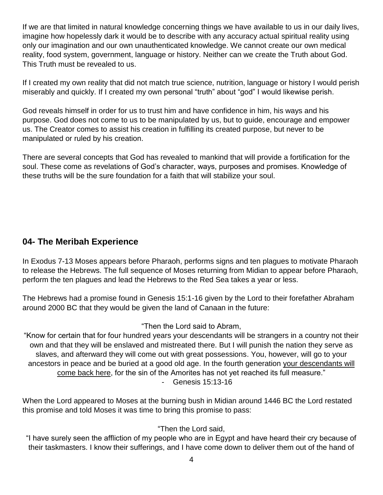If we are that limited in natural knowledge concerning things we have available to us in our daily lives, imagine how hopelessly dark it would be to describe with any accuracy actual spiritual reality using only our imagination and our own unauthenticated knowledge. We cannot create our own medical reality, food system, government, language or history. Neither can we create the Truth about God. This Truth must be revealed to us.

If I created my own reality that did not match true science, nutrition, language or history I would perish miserably and quickly. If I created my own personal "truth" about "god" I would likewise perish.

God reveals himself in order for us to trust him and have confidence in him, his ways and his purpose. God does not come to us to be manipulated by us, but to guide, encourage and empower us. The Creator comes to assist his creation in fulfilling its created purpose, but never to be manipulated or ruled by his creation.

There are several concepts that God has revealed to mankind that will provide a fortification for the soul. These come as revelations of God's character, ways, purposes and promises. Knowledge of these truths will be the sure foundation for a faith that will stabilize your soul.

### **04- The Meribah Experience**

In Exodus 7-13 Moses appears before Pharaoh, performs signs and ten plagues to motivate Pharaoh to release the Hebrews. The full sequence of Moses returning from Midian to appear before Pharaoh, perform the ten plagues and lead the Hebrews to the Red Sea takes a year or less.

The Hebrews had a promise found in Genesis 15:1-16 given by the Lord to their forefather Abraham around 2000 BC that they would be given the land of Canaan in the future:

"Then the Lord said to Abram,

"Know for certain that for four hundred years your descendants will be strangers in a country not their own and that they will be enslaved and mistreated there. But I will punish the nation they serve as slaves, and afterward they will come out with great possessions. You, however, will go to your ancestors in peace and be buried at a good old age. In the fourth generation your descendants will come back here, for the sin of the Amorites has not yet reached its full measure." - Genesis 15:13-16

When the Lord appeared to Moses at the burning bush in Midian around 1446 BC the Lord restated this promise and told Moses it was time to bring this promise to pass:

### "Then the Lord said,

"I have surely seen the affliction of my people who are in Egypt and have heard their cry because of their taskmasters. I know their sufferings, and I have come down to deliver them out of the hand of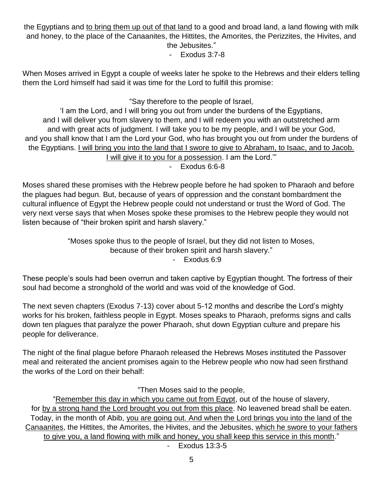the Egyptians and to bring them up out of that land to a good and broad land, a land flowing with milk and honey, to the place of the Canaanites, the Hittites, the Amorites, the Perizzites, the Hivites, and the Jebusites."

- Exodus 3:7-8

When Moses arrived in Egypt a couple of weeks later he spoke to the Hebrews and their elders telling them the Lord himself had said it was time for the Lord to fulfill this promise:

"Say therefore to the people of Israel,

'I am the Lord, and I will bring you out from under the burdens of the Egyptians, and I will deliver you from slavery to them, and I will redeem you with an outstretched arm and with great acts of judgment. I will take you to be my people, and I will be your God, and you shall know that I am the Lord your God, who has brought you out from under the burdens of the Egyptians. I will bring you into the land that I swore to give to Abraham, to Isaac, and to Jacob. I will give it to you for a possession. I am the Lord.'"

- Exodus 6:6-8

Moses shared these promises with the Hebrew people before he had spoken to Pharaoh and before the plagues had begun. But, because of years of oppression and the constant bombardment the cultural influence of Egypt the Hebrew people could not understand or trust the Word of God. The very next verse says that when Moses spoke these promises to the Hebrew people they would not listen because of "their broken spirit and harsh slavery."

> "Moses spoke thus to the people of Israel, but they did not listen to Moses, because of their broken spirit and harsh slavery." - Exodus 6:9

These people's souls had been overrun and taken captive by Egyptian thought. The fortress of their soul had become a stronghold of the world and was void of the knowledge of God.

The next seven chapters (Exodus 7-13) cover about 5-12 months and describe the Lord's mighty works for his broken, faithless people in Egypt. Moses speaks to Pharaoh, preforms signs and calls down ten plagues that paralyze the power Pharaoh, shut down Egyptian culture and prepare his people for deliverance.

The night of the final plague before Pharaoh released the Hebrews Moses instituted the Passover meal and reiterated the ancient promises again to the Hebrew people who now had seen firsthand the works of the Lord on their behalf:

"Then Moses said to the people,

"Remember this day in which you came out from Egypt, out of the house of slavery, for by a strong hand the Lord brought you out from this place. No leavened bread shall be eaten. Today, in the month of Abib, you are going out. And when the Lord brings you into the land of the Canaanites, the Hittites, the Amorites, the Hivites, and the Jebusites, which he swore to your fathers to give you, a land flowing with milk and honey, you shall keep this service in this month."

- Exodus 13:3-5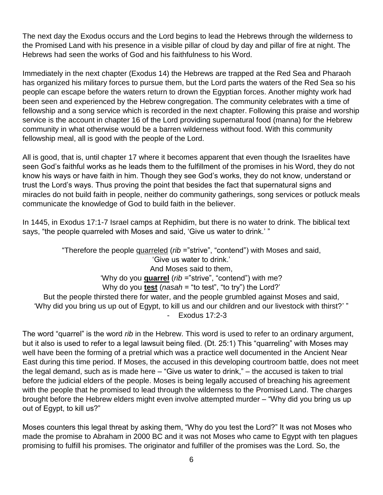The next day the Exodus occurs and the Lord begins to lead the Hebrews through the wilderness to the Promised Land with his presence in a visible pillar of cloud by day and pillar of fire at night. The Hebrews had seen the works of God and his faithfulness to his Word.

Immediately in the next chapter (Exodus 14) the Hebrews are trapped at the Red Sea and Pharaoh has organized his military forces to pursue them, but the Lord parts the waters of the Red Sea so his people can escape before the waters return to drown the Egyptian forces. Another mighty work had been seen and experienced by the Hebrew congregation. The community celebrates with a time of fellowship and a song service which is recorded in the next chapter. Following this praise and worship service is the account in chapter 16 of the Lord providing supernatural food (manna) for the Hebrew community in what otherwise would be a barren wilderness without food. With this community fellowship meal, all is good with the people of the Lord.

All is good, that is, until chapter 17 where it becomes apparent that even though the Israelites have seen God's faithful works as he leads them to the fulfillment of the promises in his Word, they do not know his ways or have faith in him. Though they see God's works, they do not know, understand or trust the Lord's ways. Thus proving the point that besides the fact that supernatural signs and miracles do not build faith in people, neither do community gatherings, song services or potluck meals communicate the knowledge of God to build faith in the believer.

In 1445, in Exodus 17:1-7 Israel camps at Rephidim, but there is no water to drink. The biblical text says, "the people quarreled with Moses and said, 'Give us water to drink.' "

"Therefore the people quarreled (*rib* ="strive", "contend") with Moses and said, 'Give us water to drink.' And Moses said to them, 'Why do you **quarrel** (*rib* ="strive", "contend") with me? Why do you **test** (*nasah* = "to test", "to try") the Lord?' But the people thirsted there for water, and the people grumbled against Moses and said, 'Why did you bring us up out of Egypt, to kill us and our children and our livestock with thirst?' " - Exodus 17:2-3

The word "quarrel" is the word *rib* in the Hebrew. This word is used to refer to an ordinary argument, but it also is used to refer to a legal lawsuit being filed. (Dt. 25:1) This "quarreling" with Moses may well have been the forming of a pretrial which was a practice well documented in the Ancient Near East during this time period. If Moses, the accused in this developing courtroom battle, does not meet the legal demand, such as is made here – "Give us water to drink," – the accused is taken to trial before the judicial elders of the people. Moses is being legally accused of breaching his agreement with the people that he promised to lead through the wilderness to the Promised Land. The charges brought before the Hebrew elders might even involve attempted murder – "Why did you bring us up out of Egypt, to kill us?"

Moses counters this legal threat by asking them, "Why do you test the Lord?" It was not Moses who made the promise to Abraham in 2000 BC and it was not Moses who came to Egypt with ten plagues promising to fulfill his promises. The originator and fulfiller of the promises was the Lord. So, the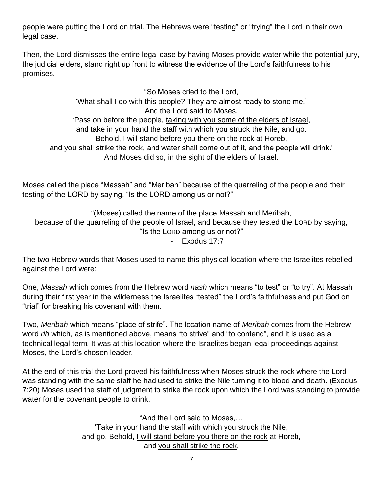people were putting the Lord on trial. The Hebrews were "testing" or "trying" the Lord in their own legal case.

Then, the Lord dismisses the entire legal case by having Moses provide water while the potential jury, the judicial elders, stand right up front to witness the evidence of the Lord's faithfulness to his promises.

"So Moses cried to the Lord, 'What shall I do with this people? They are almost ready to stone me.' And the Lord said to Moses, 'Pass on before the people, taking with you some of the elders of Israel, and take in your hand the staff with which you struck the Nile, and go. Behold, I will stand before you there on the rock at Horeb, and you shall strike the rock, and water shall come out of it, and the people will drink.' And Moses did so, in the sight of the elders of Israel.

Moses called the place "Massah" and "Meribah" because of the quarreling of the people and their testing of the LORD by saying, "Is the LORD among us or not?"

"(Moses) called the name of the place Massah and Meribah, because of the quarreling of the people of Israel, and because they tested the LORD by saying, "Is the LORD among us or not?" - Exodus 17:7

The two Hebrew words that Moses used to name this physical location where the Israelites rebelled against the Lord were:

One, *Massah* which comes from the Hebrew word *nash* which means "to test" or "to try". At Massah during their first year in the wilderness the Israelites "tested" the Lord's faithfulness and put God on "trial" for breaking his covenant with them.

Two, *Meribah* which means "place of strife". The location name of *Meribah* comes from the Hebrew word *rib* which, as is mentioned above, means "to strive" and "to contend", and it is used as a technical legal term. It was at this location where the Israelites began legal proceedings against Moses, the Lord's chosen leader.

At the end of this trial the Lord proved his faithfulness when Moses struck the rock where the Lord was standing with the same staff he had used to strike the Nile turning it to blood and death. (Exodus 7:20) Moses used the staff of judgment to strike the rock upon which the Lord was standing to provide water for the covenant people to drink.

> "And the Lord said to Moses,… 'Take in your hand the staff with which you struck the Nile, and go. Behold, I will stand before you there on the rock at Horeb, and you shall strike the rock,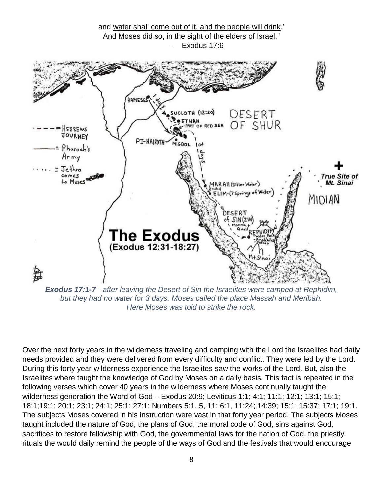

*Exodus 17:1-7 - after leaving the Desert of Sin the Israelites were camped at Rephidim, but they had no water for 3 days. Moses called the place Massah and Meribah. Here Moses was told to strike the rock.*

Over the next forty years in the wilderness traveling and camping with the Lord the Israelites had daily needs provided and they were delivered from every difficulty and conflict. They were led by the Lord. During this forty year wilderness experience the Israelites saw the works of the Lord. But, also the Israelites where taught the knowledge of God by Moses on a daily basis. This fact is repeated in the following verses which cover 40 years in the wilderness where Moses continually taught the wilderness generation the Word of God – Exodus 20:9; Leviticus 1:1; 4:1; 11:1; 12:1; 13:1; 15:1; 18:1;19:1; 20:1; 23:1; 24:1; 25:1; 27:1; Numbers 5:1, 5, 11; 6:1, 11:24; 14:39; 15:1; 15:37; 17:1; 19:1. The subjects Moses covered in his instruction were vast in that forty year period. The subjects Moses taught included the nature of God, the plans of God, the moral code of God, sins against God, sacrifices to restore fellowship with God, the governmental laws for the nation of God, the priestly rituals the would daily remind the people of the ways of God and the festivals that would encourage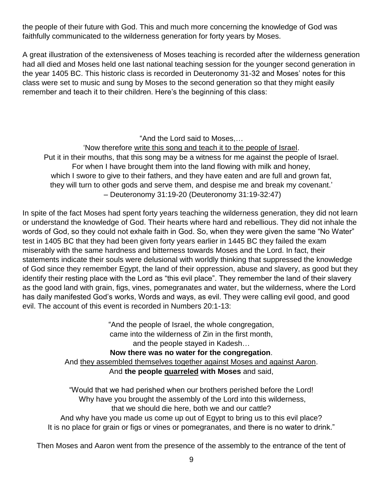the people of their future with God. This and much more concerning the knowledge of God was faithfully communicated to the wilderness generation for forty years by Moses.

A great illustration of the extensiveness of Moses teaching is recorded after the wilderness generation had all died and Moses held one last national teaching session for the younger second generation in the year 1405 BC. This historic class is recorded in Deuteronomy 31-32 and Moses' notes for this class were set to music and sung by Moses to the second generation so that they might easily remember and teach it to their children. Here's the beginning of this class:

"And the Lord said to Moses,… 'Now therefore write this song and teach it to the people of Israel. Put it in their mouths, that this song may be a witness for me against the people of Israel. For when I have brought them into the land flowing with milk and honey, which I swore to give to their fathers, and they have eaten and are full and grown fat, they will turn to other gods and serve them, and despise me and break my covenant.' – Deuteronomy 31:19-20 (Deuteronomy 31:19-32:47)

In spite of the fact Moses had spent forty years teaching the wilderness generation, they did not learn or understand the knowledge of God. Their hearts where hard and rebellious. They did not inhale the words of God, so they could not exhale faith in God. So, when they were given the same "No Water" test in 1405 BC that they had been given forty years earlier in 1445 BC they failed the exam miserably with the same hardness and bitterness towards Moses and the Lord. In fact, their statements indicate their souls were delusional with worldly thinking that suppressed the knowledge of God since they remember Egypt, the land of their oppression, abuse and slavery, as good but they identify their resting place with the Lord as "this evil place". They remember the land of their slavery as the good land with grain, figs, vines, pomegranates and water, but the wilderness, where the Lord has daily manifested God's works, Words and ways, as evil. They were calling evil good, and good evil. The account of this event is recorded in Numbers 20:1-13:

> "And the people of Israel, the whole congregation, came into the wilderness of Zin in the first month, and the people stayed in Kadesh… **Now there was no water for the congregation**. And they assembled themselves together against Moses and against Aaron. And **the people quarreled with Moses** and said,

"Would that we had perished when our brothers perished before the Lord! Why have you brought the assembly of the Lord into this wilderness, that we should die here, both we and our cattle?

And why have you made us come up out of Egypt to bring us to this evil place? It is no place for grain or figs or vines or pomegranates, and there is no water to drink."

Then Moses and Aaron went from the presence of the assembly to the entrance of the tent of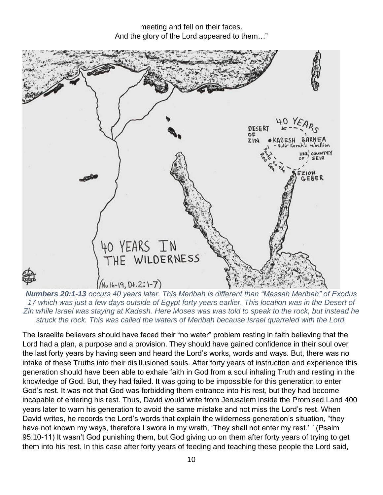meeting and fell on their faces. And the glory of the Lord appeared to them…"



*Numbers 20:1-13 occurs 40 years later. This Meribah is different than "Massah Meribah" of Exodus 17 which was just a few days outside of Egypt forty years earlier. This location was in the Desert of Zin while Israel was staying at Kadesh. Here Moses was was told to speak to the rock, but instead he struck the rock. This was called the waters of Meribah because Israel quarreled with the Lord.*

The Israelite believers should have faced their "no water" problem resting in faith believing that the Lord had a plan, a purpose and a provision. They should have gained confidence in their soul over the last forty years by having seen and heard the Lord's works, words and ways. But, there was no intake of these Truths into their disillusioned souls. After forty years of instruction and experience this generation should have been able to exhale faith in God from a soul inhaling Truth and resting in the knowledge of God. But, they had failed. It was going to be impossible for this generation to enter God's rest. It was not that God was forbidding them entrance into his rest, but they had become incapable of entering his rest. Thus, David would write from Jerusalem inside the Promised Land 400 years later to warn his generation to avoid the same mistake and not miss the Lord's rest. When David writes, he records the Lord's words that explain the wilderness generation's situation, "they have not known my ways, therefore I swore in my wrath, 'They shall not enter my rest.' " (Psalm 95:10-11) It wasn't God punishing them, but God giving up on them after forty years of trying to get them into his rest. In this case after forty years of feeding and teaching these people the Lord said,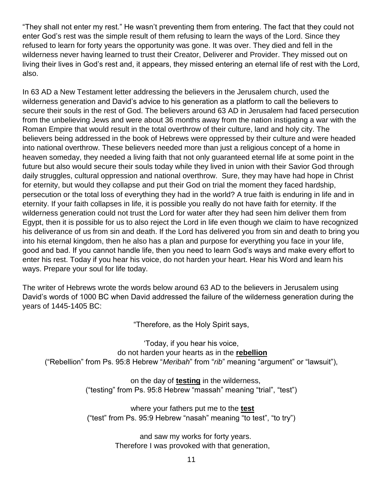"They shall not enter my rest." He wasn't preventing them from entering. The fact that they could not enter God's rest was the simple result of them refusing to learn the ways of the Lord. Since they refused to learn for forty years the opportunity was gone. It was over. They died and fell in the wilderness never having learned to trust their Creator, Deliverer and Provider. They missed out on living their lives in God's rest and, it appears, they missed entering an eternal life of rest with the Lord, also.

In 63 AD a New Testament letter addressing the believers in the Jerusalem church, used the wilderness generation and David's advice to his generation as a platform to call the believers to secure their souls in the rest of God. The believers around 63 AD in Jerusalem had faced persecution from the unbelieving Jews and were about 36 months away from the nation instigating a war with the Roman Empire that would result in the total overthrow of their culture, land and holy city. The believers being addressed in the book of Hebrews were oppressed by their culture and were headed into national overthrow. These believers needed more than just a religious concept of a home in heaven someday, they needed a living faith that not only guaranteed eternal life at some point in the future but also would secure their souls today while they lived in union with their Savior God through daily struggles, cultural oppression and national overthrow. Sure, they may have had hope in Christ for eternity, but would they collapse and put their God on trial the moment they faced hardship, persecution or the total loss of everything they had in the world? A true faith is enduring in life and in eternity. If your faith collapses in life, it is possible you really do not have faith for eternity. If the wilderness generation could not trust the Lord for water after they had seen him deliver them from Egypt, then it is possible for us to also reject the Lord in life even though we claim to have recognized his deliverance of us from sin and death. If the Lord has delivered you from sin and death to bring you into his eternal kingdom, then he also has a plan and purpose for everything you face in your life, good and bad. If you cannot handle life, then you need to learn God's ways and make every effort to enter his rest. Today if you hear his voice, do not harden your heart. Hear his Word and learn his ways. Prepare your soul for life today.

The writer of Hebrews wrote the words below around 63 AD to the believers in Jerusalem using David's words of 1000 BC when David addressed the failure of the wilderness generation during the years of 1445-1405 BC:

"Therefore, as the Holy Spirit says,

'Today, if you hear his voice, do not harden your hearts as in the **rebellion** ("Rebellion" from Ps. 95:8 Hebrew "*Meribah*" from "*rib*" meaning "argument" or "lawsuit"),

> on the day of **testing** in the wilderness, ("testing" from Ps. 95:8 Hebrew "massah" meaning "trial", "test")

> where your fathers put me to the **test** ("test" from Ps. 95:9 Hebrew "nasah" meaning "to test", "to try")

> > and saw my works for forty years. Therefore I was provoked with that generation,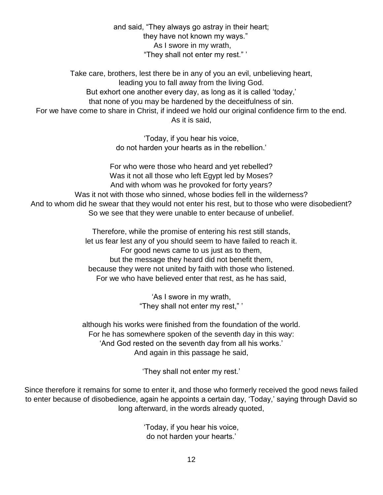and said, "They always go astray in their heart; they have not known my ways." As I swore in my wrath, "They shall not enter my rest." '

Take care, brothers, lest there be in any of you an evil, unbelieving heart, leading you to fall away from the living God. But exhort one another every day, as long as it is called 'today,' that none of you may be hardened by the deceitfulness of sin. For we have come to share in Christ, if indeed we hold our original confidence firm to the end. As it is said,

> 'Today, if you hear his voice, do not harden your hearts as in the rebellion.'

For who were those who heard and yet rebelled? Was it not all those who left Egypt led by Moses? And with whom was he provoked for forty years? Was it not with those who sinned, whose bodies fell in the wilderness? And to whom did he swear that they would not enter his rest, but to those who were disobedient? So we see that they were unable to enter because of unbelief.

> Therefore, while the promise of entering his rest still stands, let us fear lest any of you should seem to have failed to reach it. For good news came to us just as to them, but the message they heard did not benefit them, because they were not united by faith with those who listened. For we who have believed enter that rest, as he has said,

> > 'As I swore in my wrath, "They shall not enter my rest," '

although his works were finished from the foundation of the world. For he has somewhere spoken of the seventh day in this way: 'And God rested on the seventh day from all his works.' And again in this passage he said,

'They shall not enter my rest.'

Since therefore it remains for some to enter it, and those who formerly received the good news failed to enter because of disobedience, again he appoints a certain day, 'Today,' saying through David so long afterward, in the words already quoted,

> 'Today, if you hear his voice, do not harden your hearts.'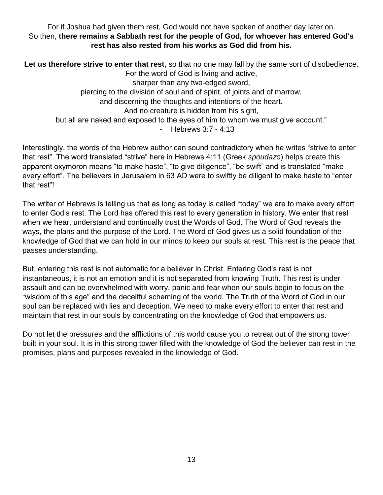For if Joshua had given them rest, God would not have spoken of another day later on. So then, **there remains a Sabbath rest for the people of God, for whoever has entered God's rest has also rested from his works as God did from his.**

**Let us therefore strive to enter that rest**, so that no one may fall by the same sort of disobedience. For the word of God is living and active, sharper than any two-edged sword, piercing to the division of soul and of spirit, of joints and of marrow, and discerning the thoughts and intentions of the heart. And no creature is hidden from his sight, but all are naked and exposed to the eyes of him to whom we must give account." - Hebrews 3:7 - 4:13

Interestingly, the words of the Hebrew author can sound contradictory when he writes "strive to enter that rest". The word translated "strive" here in Hebrews 4:11 (Greek *spoudazo*) helps create this apparent oxymoron means "to make haste", "to give diligence", "be swift" and is translated "make every effort". The believers in Jerusalem in 63 AD were to swiftly be diligent to make haste to "enter that rest"!

The writer of Hebrews is telling us that as long as today is called "today" we are to make every effort to enter God's rest. The Lord has offered this rest to every generation in history. We enter that rest when we hear, understand and continually trust the Words of God. The Word of God reveals the ways, the plans and the purpose of the Lord. The Word of God gives us a solid foundation of the knowledge of God that we can hold in our minds to keep our souls at rest. This rest is the peace that passes understanding.

But, entering this rest is not automatic for a believer in Christ. Entering God's rest is not instantaneous, it is not an emotion and it is not separated from knowing Truth. This rest is under assault and can be overwhelmed with worry, panic and fear when our souls begin to focus on the "wisdom of this age" and the deceitful scheming of the world. The Truth of the Word of God in our soul can be replaced with lies and deception. We need to make every effort to enter that rest and maintain that rest in our souls by concentrating on the knowledge of God that empowers us.

Do not let the pressures and the afflictions of this world cause you to retreat out of the strong tower built in your soul. It is in this strong tower filled with the knowledge of God the believer can rest in the promises, plans and purposes revealed in the knowledge of God.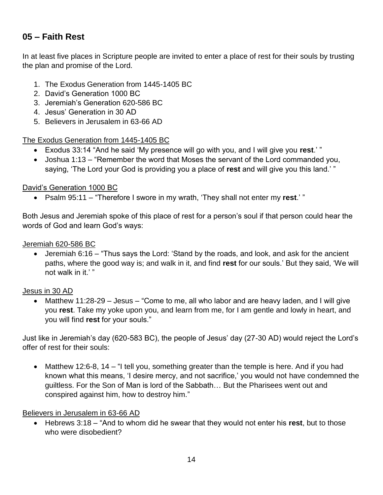### **05 – Faith Rest**

In at least five places in Scripture people are invited to enter a place of rest for their souls by trusting the plan and promise of the Lord.

- 1. The Exodus Generation from 1445-1405 BC
- 2. David's Generation 1000 BC
- 3. Jeremiah's Generation 620-586 BC
- 4. Jesus' Generation in 30 AD
- 5. Believers in Jerusalem in 63-66 AD

### The Exodus Generation from 1445-1405 BC

- Exodus 33:14 "And he said 'My presence will go with you, and I will give you **rest**.' "
- Joshua 1:13 "Remember the word that Moses the servant of the Lord commanded you, saying, 'The Lord your God is providing you a place of **rest** and will give you this land.' "

### David's Generation 1000 BC

Psalm 95:11 – "Therefore I swore in my wrath, 'They shall not enter my **rest**.' "

Both Jesus and Jeremiah spoke of this place of rest for a person's soul if that person could hear the words of God and learn God's ways:

#### Jeremiah 620-586 BC

 Jeremiah 6:16 – "Thus says the Lord: 'Stand by the roads, and look, and ask for the ancient paths, where the good way is; and walk in it, and find **rest** for our souls.' But they said, 'We will not walk in it.' "

### Jesus in 30 AD

 Matthew 11:28-29 – Jesus – "Come to me, all who labor and are heavy laden, and I will give you **rest**. Take my yoke upon you, and learn from me, for I am gentle and lowly in heart, and you will find **rest** for your souls."

Just like in Jeremiah's day (620-583 BC), the people of Jesus' day (27-30 AD) would reject the Lord's offer of rest for their souls:

 Matthew 12:6-8, 14 – "I tell you, something greater than the temple is here. And if you had known what this means, 'I desire mercy, and not sacrifice,' you would not have condemned the guiltless. For the Son of Man is lord of the Sabbath… But the Pharisees went out and conspired against him, how to destroy him."

### Believers in Jerusalem in 63-66 AD

 Hebrews 3:18 – "And to whom did he swear that they would not enter his **rest**, but to those who were disobedient?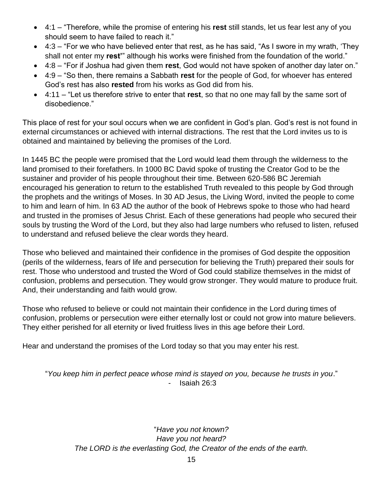- 4:1 "Therefore, while the promise of entering his **rest** still stands, let us fear lest any of you should seem to have failed to reach it."
- 4:3 "For we who have believed enter that rest, as he has said, "As I swore in my wrath, 'They shall not enter my **rest'**" although his works were finished from the foundation of the world."
- 4:8 "For if Joshua had given them **rest**, God would not have spoken of another day later on."
- 4:9 "So then, there remains a Sabbath **rest** for the people of God, for whoever has entered God's rest has also **rested** from his works as God did from his.
- 4:11 "Let us therefore strive to enter that **rest**, so that no one may fall by the same sort of disobedience."

This place of rest for your soul occurs when we are confident in God's plan. God's rest is not found in external circumstances or achieved with internal distractions. The rest that the Lord invites us to is obtained and maintained by believing the promises of the Lord.

In 1445 BC the people were promised that the Lord would lead them through the wilderness to the land promised to their forefathers. In 1000 BC David spoke of trusting the Creator God to be the sustainer and provider of his people throughout their time. Between 620-586 BC Jeremiah encouraged his generation to return to the established Truth revealed to this people by God through the prophets and the writings of Moses. In 30 AD Jesus, the Living Word, invited the people to come to him and learn of him. In 63 AD the author of the book of Hebrews spoke to those who had heard and trusted in the promises of Jesus Christ. Each of these generations had people who secured their souls by trusting the Word of the Lord, but they also had large numbers who refused to listen, refused to understand and refused believe the clear words they heard.

Those who believed and maintained their confidence in the promises of God despite the opposition (perils of the wilderness, fears of life and persecution for believing the Truth) prepared their souls for rest. Those who understood and trusted the Word of God could stabilize themselves in the midst of confusion, problems and persecution. They would grow stronger. They would mature to produce fruit. And, their understanding and faith would grow.

Those who refused to believe or could not maintain their confidence in the Lord during times of confusion, problems or persecution were either eternally lost or could not grow into mature believers. They either perished for all eternity or lived fruitless lives in this age before their Lord.

Hear and understand the promises of the Lord today so that you may enter his rest.

"*You keep him in perfect peace whose mind is stayed on you, because he trusts in you*." - Isaiah 26:3

"*Have you not known? Have you not heard? The LORD is the everlasting God, the Creator of the ends of the earth.*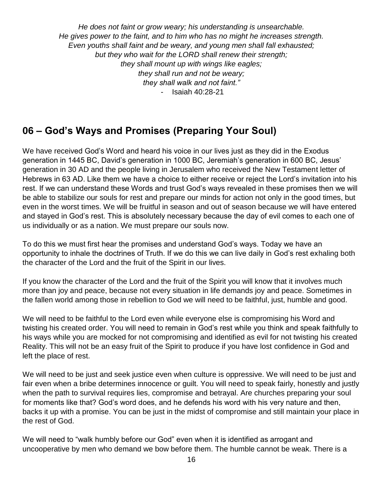*He does not faint or grow weary; his understanding is unsearchable. He gives power to the faint, and to him who has no might he increases strength. Even youths shall faint and be weary, and young men shall fall exhausted; but they who wait for the LORD shall renew their strength; they shall mount up with wings like eagles; they shall run and not be weary; they shall walk and not faint."* - Isaiah 40:28-21

### **06 – God's Ways and Promises (Preparing Your Soul)**

We have received God's Word and heard his voice in our lives just as they did in the Exodus generation in 1445 BC, David's generation in 1000 BC, Jeremiah's generation in 600 BC, Jesus' generation in 30 AD and the people living in Jerusalem who received the New Testament letter of Hebrews in 63 AD. Like them we have a choice to either receive or reject the Lord's invitation into his rest. If we can understand these Words and trust God's ways revealed in these promises then we will be able to stabilize our souls for rest and prepare our minds for action not only in the good times, but even in the worst times. We will be fruitful in season and out of season because we will have entered and stayed in God's rest. This is absolutely necessary because the day of evil comes to each one of us individually or as a nation. We must prepare our souls now.

To do this we must first hear the promises and understand God's ways. Today we have an opportunity to inhale the doctrines of Truth. If we do this we can live daily in God's rest exhaling both the character of the Lord and the fruit of the Spirit in our lives.

If you know the character of the Lord and the fruit of the Spirit you will know that it involves much more than joy and peace, because not every situation in life demands joy and peace. Sometimes in the fallen world among those in rebellion to God we will need to be faithful, just, humble and good.

We will need to be faithful to the Lord even while everyone else is compromising his Word and twisting his created order. You will need to remain in God's rest while you think and speak faithfully to his ways while you are mocked for not compromising and identified as evil for not twisting his created Reality. This will not be an easy fruit of the Spirit to produce if you have lost confidence in God and left the place of rest.

We will need to be just and seek justice even when culture is oppressive. We will need to be just and fair even when a bribe determines innocence or guilt. You will need to speak fairly, honestly and justly when the path to survival requires lies, compromise and betrayal. Are churches preparing your soul for moments like that? God's word does, and he defends his word with his very nature and then, backs it up with a promise. You can be just in the midst of compromise and still maintain your place in the rest of God.

We will need to "walk humbly before our God" even when it is identified as arrogant and uncooperative by men who demand we bow before them. The humble cannot be weak. There is a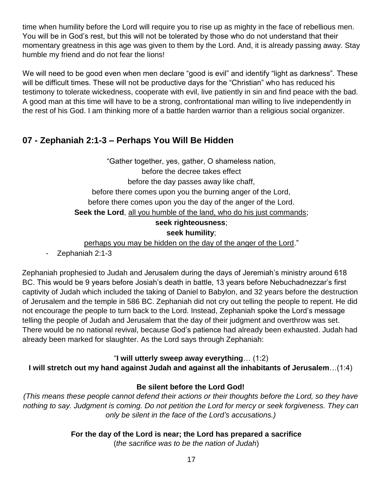time when humility before the Lord will require you to rise up as mighty in the face of rebellious men. You will be in God's rest, but this will not be tolerated by those who do not understand that their momentary greatness in this age was given to them by the Lord. And, it is already passing away. Stay humble my friend and do not fear the lions!

We will need to be good even when men declare "good is evil" and identify "light as darkness". These will be difficult times. These will not be productive days for the "Christian" who has reduced his testimony to tolerate wickedness, cooperate with evil, live patiently in sin and find peace with the bad. A good man at this time will have to be a strong, confrontational man willing to live independently in the rest of his God. I am thinking more of a battle harden warrior than a religious social organizer.

### **07 - Zephaniah 2:1-3 – Perhaps You Will Be Hidden**

"Gather together, yes, gather, O shameless nation, before the decree takes effect before the day passes away like chaff, before there comes upon you the burning anger of the Lord, before there comes upon you the day of the anger of the Lord. **Seek the Lord**, all you humble of the land, who do his just commands; **seek righteousness**; **seek humility**;

perhaps you may be hidden on the day of the anger of the Lord."

Zephaniah 2:1-3

Zephaniah prophesied to Judah and Jerusalem during the days of Jeremiah's ministry around 618 BC. This would be 9 years before Josiah's death in battle, 13 years before Nebuchadnezzar's first captivity of Judah which included the taking of Daniel to Babylon, and 32 years before the destruction of Jerusalem and the temple in 586 BC. Zephaniah did not cry out telling the people to repent. He did not encourage the people to turn back to the Lord. Instead, Zephaniah spoke the Lord's message telling the people of Judah and Jerusalem that the day of their judgment and overthrow was set. There would be no national revival, because God's patience had already been exhausted. Judah had already been marked for slaughter. As the Lord says through Zephaniah:

"**I will utterly sweep away everything**… (1:2) **I will stretch out my hand against Judah and against all the inhabitants of Jerusalem**…(1:4)

### **Be silent before the Lord God!**

*(This means these people cannot defend their actions or their thoughts before the Lord, so they have nothing to say. Judgment is coming. Do not petition the Lord for mercy or seek forgiveness. They can only be silent in the face of the Lord's accusations.)*

### **For the day of the Lord is near; the Lord has prepared a sacrifice**

(*the sacrifice was to be the nation of Judah*)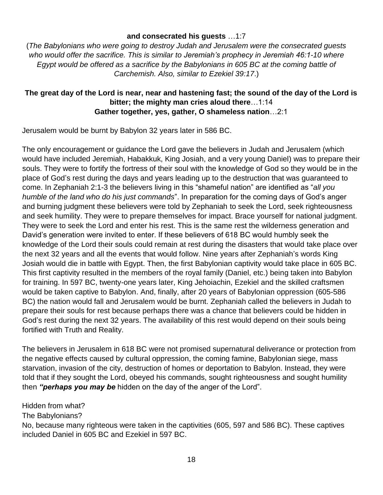#### **and consecrated his guests** …1:7

(*The Babylonians who were going to destroy Judah and Jerusalem were the consecrated guests who would offer the sacrifice. This is similar to Jeremiah's prophecy in Jeremiah 46:1-10 where Egypt would be offered as a sacrifice by the Babylonians in 605 BC at the coming battle of Carchemish. Also, similar to Ezekiel 39:17*.)

#### **The great day of the Lord is near, near and hastening fast; the sound of the day of the Lord is bitter; the mighty man cries aloud there**…1:14 **Gather together, yes, gather, O shameless nation**…2:1

Jerusalem would be burnt by Babylon 32 years later in 586 BC.

The only encouragement or guidance the Lord gave the believers in Judah and Jerusalem (which would have included Jeremiah, Habakkuk, King Josiah, and a very young Daniel) was to prepare their souls. They were to fortify the fortress of their soul with the knowledge of God so they would be in the place of God's rest during the days and years leading up to the destruction that was guaranteed to come. In Zephaniah 2:1-3 the believers living in this "shameful nation" are identified as "*all you humble of the land who do his just commands*". In preparation for the coming days of God's anger and burning judgment these believers were told by Zephaniah to seek the Lord, seek righteousness and seek humility. They were to prepare themselves for impact. Brace yourself for national judgment. They were to seek the Lord and enter his rest. This is the same rest the wilderness generation and David's generation were invited to enter. If these believers of 618 BC would humbly seek the knowledge of the Lord their souls could remain at rest during the disasters that would take place over the next 32 years and all the events that would follow. Nine years after Zephaniah's words King Josiah would die in battle with Egypt. Then, the first Babylonian captivity would take place in 605 BC. This first captivity resulted in the members of the royal family (Daniel, etc.) being taken into Babylon for training. In 597 BC, twenty-one years later, King Jehoiachin, Ezekiel and the skilled craftsmen would be taken captive to Babylon. And, finally, after 20 years of Babylonian oppression (605-586 BC) the nation would fall and Jerusalem would be burnt. Zephaniah called the believers in Judah to prepare their souls for rest because perhaps there was a chance that believers could be hidden in God's rest during the next 32 years. The availability of this rest would depend on their souls being fortified with Truth and Reality.

The believers in Jerusalem in 618 BC were not promised supernatural deliverance or protection from the negative effects caused by cultural oppression, the coming famine, Babylonian siege, mass starvation, invasion of the city, destruction of homes or deportation to Babylon. Instead, they were told that if they sought the Lord, obeyed his commands, sought righteousness and sought humility then *"perhaps you may be* hidden on the day of the anger of the Lord".

Hidden from what? The Babylonians?

No, because many righteous were taken in the captivities (605, 597 and 586 BC). These captives included Daniel in 605 BC and Ezekiel in 597 BC.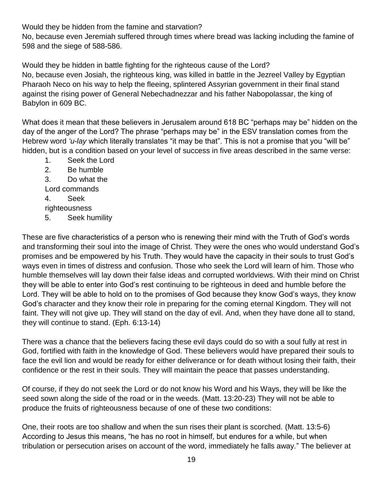Would they be hidden from the famine and starvation?

No, because even Jeremiah suffered through times where bread was lacking including the famine of 598 and the siege of 588-586.

Would they be hidden in battle fighting for the righteous cause of the Lord?

No, because even Josiah, the righteous king, was killed in battle in the Jezreel Valley by Egyptian Pharaoh Neco on his way to help the fleeing, splintered Assyrian government in their final stand against the rising power of General Nebechadnezzar and his father Nabopolassar, the king of Babylon in 609 BC.

What does it mean that these believers in Jerusalem around 618 BC "perhaps may be" hidden on the day of the anger of the Lord? The phrase "perhaps may be" in the ESV translation comes from the Hebrew word *'u-lay* which literally translates "it may be that". This is not a promise that you "will be" hidden, but is a condition based on your level of success in five areas described in the same verse:

- 1. Seek the Lord
- 2. Be humble
- 3. Do what the
- Lord commands
- 4. Seek
- righteousness
- 5. Seek humility

These are five characteristics of a person who is renewing their mind with the Truth of God's words and transforming their soul into the image of Christ. They were the ones who would understand God's promises and be empowered by his Truth. They would have the capacity in their souls to trust God's ways even in times of distress and confusion. Those who seek the Lord will learn of him. Those who humble themselves will lay down their false ideas and corrupted worldviews. With their mind on Christ they will be able to enter into God's rest continuing to be righteous in deed and humble before the Lord. They will be able to hold on to the promises of God because they know God's ways, they know God's character and they know their role in preparing for the coming eternal Kingdom. They will not faint. They will not give up. They will stand on the day of evil. And, when they have done all to stand, they will continue to stand. (Eph. 6:13-14)

There was a chance that the believers facing these evil days could do so with a soul fully at rest in God, fortified with faith in the knowledge of God. These believers would have prepared their souls to face the evil lion and would be ready for either deliverance or for death without losing their faith, their confidence or the rest in their souls. They will maintain the peace that passes understanding.

Of course, if they do not seek the Lord or do not know his Word and his Ways, they will be like the seed sown along the side of the road or in the weeds. (Matt. 13:20-23) They will not be able to produce the fruits of righteousness because of one of these two conditions:

One, their roots are too shallow and when the sun rises their plant is scorched. (Matt. 13:5-6) According to Jesus this means, "he has no root in himself, but endures for a while, but when tribulation or persecution arises on account of the word, immediately he falls away." The believer at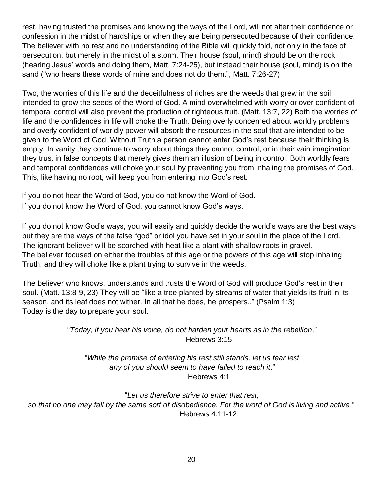rest, having trusted the promises and knowing the ways of the Lord, will not alter their confidence or confession in the midst of hardships or when they are being persecuted because of their confidence. The believer with no rest and no understanding of the Bible will quickly fold, not only in the face of persecution, but merely in the midst of a storm. Their house (soul, mind) should be on the rock (hearing Jesus' words and doing them, Matt. 7:24-25), but instead their house (soul, mind) is on the sand ("who hears these words of mine and does not do them.", Matt. 7:26-27)

Two, the worries of this life and the deceitfulness of riches are the weeds that grew in the soil intended to grow the seeds of the Word of God. A mind overwhelmed with worry or over confident of temporal control will also prevent the production of righteous fruit. (Matt. 13:7, 22) Both the worries of life and the confidences in life will choke the Truth. Being overly concerned about worldly problems and overly confident of worldly power will absorb the resources in the soul that are intended to be given to the Word of God. Without Truth a person cannot enter God's rest because their thinking is empty. In vanity they continue to worry about things they cannot control, or in their vain imagination they trust in false concepts that merely gives them an illusion of being in control. Both worldly fears and temporal confidences will choke your soul by preventing you from inhaling the promises of God. This, like having no root, will keep you from entering into God's rest.

If you do not hear the Word of God, you do not know the Word of God. If you do not know the Word of God, you cannot know God's ways.

If you do not know God's ways, you will easily and quickly decide the world's ways are the best ways but they are the ways of the false "god" or idol you have set in your soul in the place of the Lord. The ignorant believer will be scorched with heat like a plant with shallow roots in gravel. The believer focused on either the troubles of this age or the powers of this age will stop inhaling Truth, and they will choke like a plant trying to survive in the weeds.

The believer who knows, understands and trusts the Word of God will produce God's rest in their soul. (Matt. 13:8-9, 23) They will be "like a tree planted by streams of water that yields its fruit in its season, and its leaf does not wither. In all that he does, he prospers.." (Psalm 1:3) Today is the day to prepare your soul.

> "*Today, if you hear his voice, do not harden your hearts as in the rebellion*." Hebrews 3:15

"*While the promise of entering his rest still stands, let us fear lest any of you should seem to have failed to reach it*." Hebrews 4:1

"*Let us therefore strive to enter that rest, so that no one may fall by the same sort of disobedience. For the word of God is living and active*." Hebrews 4:11-12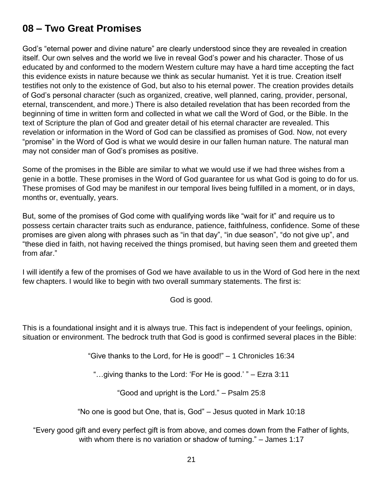## **08 – Two Great Promises**

God's "eternal power and divine nature" are clearly understood since they are revealed in creation itself. Our own selves and the world we live in reveal God's power and his character. Those of us educated by and conformed to the modern Western culture may have a hard time accepting the fact this evidence exists in nature because we think as secular humanist. Yet it is true. Creation itself testifies not only to the existence of God, but also to his eternal power. The creation provides details of God's personal character (such as organized, creative, well planned, caring, provider, personal, eternal, transcendent, and more.) There is also detailed revelation that has been recorded from the beginning of time in written form and collected in what we call the Word of God, or the Bible. In the text of Scripture the plan of God and greater detail of his eternal character are revealed. This revelation or information in the Word of God can be classified as promises of God. Now, not every "promise" in the Word of God is what we would desire in our fallen human nature. The natural man may not consider man of God's promises as positive.

Some of the promises in the Bible are similar to what we would use if we had three wishes from a genie in a bottle. These promises in the Word of God guarantee for us what God is going to do for us. These promises of God may be manifest in our temporal lives being fulfilled in a moment, or in days, months or, eventually, years.

But, some of the promises of God come with qualifying words like "wait for it" and require us to possess certain character traits such as endurance, patience, faithfulness, confidence. Some of these promises are given along with phrases such as "in that day", "in due season", "do not give up", and "these died in faith, not having received the things promised, but having seen them and greeted them from afar."

I will identify a few of the promises of God we have available to us in the Word of God here in the next few chapters. I would like to begin with two overall summary statements. The first is:

God is good.

This is a foundational insight and it is always true. This fact is independent of your feelings, opinion, situation or environment. The bedrock truth that God is good is confirmed several places in the Bible:

"Give thanks to the Lord, for He is good!" – 1 Chronicles 16:34

"…giving thanks to the Lord: 'For He is good.' " – Ezra 3:11

"Good and upright is the Lord." – Psalm 25:8

"No one is good but One, that is, God" – Jesus quoted in Mark 10:18

"Every good gift and every perfect gift is from above, and comes down from the Father of lights, with whom there is no variation or shadow of turning." – James 1:17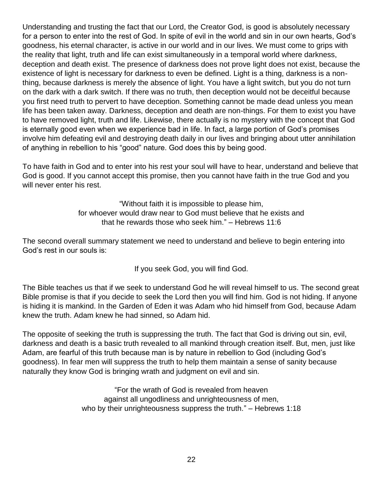Understanding and trusting the fact that our Lord, the Creator God, is good is absolutely necessary for a person to enter into the rest of God. In spite of evil in the world and sin in our own hearts, God's goodness, his eternal character, is active in our world and in our lives. We must come to grips with the reality that light, truth and life can exist simultaneously in a temporal world where darkness, deception and death exist. The presence of darkness does not prove light does not exist, because the existence of light is necessary for darkness to even be defined. Light is a thing, darkness is a nonthing, because darkness is merely the absence of light. You have a light switch, but you do not turn on the dark with a dark switch. If there was no truth, then deception would not be deceitful because you first need truth to pervert to have deception. Something cannot be made dead unless you mean life has been taken away. Darkness, deception and death are non-things. For them to exist you have to have removed light, truth and life. Likewise, there actually is no mystery with the concept that God is eternally good even when we experience bad in life. In fact, a large portion of God's promises involve him defeating evil and destroying death daily in our lives and bringing about utter annihilation of anything in rebellion to his "good" nature. God does this by being good.

To have faith in God and to enter into his rest your soul will have to hear, understand and believe that God is good. If you cannot accept this promise, then you cannot have faith in the true God and you will never enter his rest.

> "Without faith it is impossible to please him, for whoever would draw near to God must believe that he exists and that he rewards those who seek him." – Hebrews 11:6

The second overall summary statement we need to understand and believe to begin entering into God's rest in our souls is:

If you seek God, you will find God.

The Bible teaches us that if we seek to understand God he will reveal himself to us. The second great Bible promise is that if you decide to seek the Lord then you will find him. God is not hiding. If anyone is hiding it is mankind. In the Garden of Eden it was Adam who hid himself from God, because Adam knew the truth. Adam knew he had sinned, so Adam hid.

The opposite of seeking the truth is suppressing the truth. The fact that God is driving out sin, evil, darkness and death is a basic truth revealed to all mankind through creation itself. But, men, just like Adam, are fearful of this truth because man is by nature in rebellion to God (including God's goodness). In fear men will suppress the truth to help them maintain a sense of sanity because naturally they know God is bringing wrath and judgment on evil and sin.

> "For the wrath of God is revealed from heaven against all ungodliness and unrighteousness of men, who by their unrighteousness suppress the truth." – Hebrews 1:18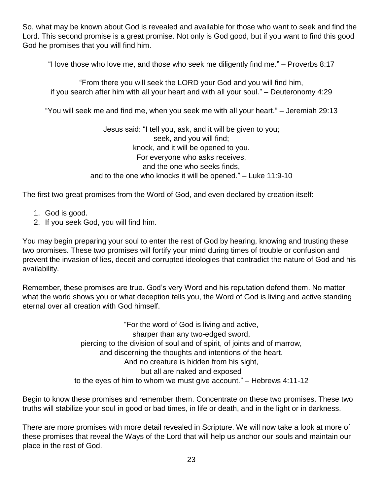So, what may be known about God is revealed and available for those who want to seek and find the Lord. This second promise is a great promise. Not only is God good, but if you want to find this good God he promises that you will find him.

"I love those who love me, and those who seek me diligently find me." – Proverbs 8:17

"From there you will seek the LORD your God and you will find him, if you search after him with all your heart and with all your soul." – Deuteronomy 4:29

"You will seek me and find me, when you seek me with all your heart." – Jeremiah 29:13

Jesus said: "I tell you, ask, and it will be given to you; seek, and you will find; knock, and it will be opened to you. For everyone who asks receives, and the one who seeks finds, and to the one who knocks it will be opened." – Luke 11:9-10

The first two great promises from the Word of God, and even declared by creation itself:

- 1. God is good.
- 2. If you seek God, you will find him.

You may begin preparing your soul to enter the rest of God by hearing, knowing and trusting these two promises. These two promises will fortify your mind during times of trouble or confusion and prevent the invasion of lies, deceit and corrupted ideologies that contradict the nature of God and his availability.

Remember, these promises are true. God's very Word and his reputation defend them. No matter what the world shows you or what deception tells you, the Word of God is living and active standing eternal over all creation with God himself.

> "For the word of God is living and active, sharper than any two-edged sword, piercing to the division of soul and of spirit, of joints and of marrow, and discerning the thoughts and intentions of the heart. And no creature is hidden from his sight, but all are naked and exposed to the eyes of him to whom we must give account." – Hebrews 4:11-12

Begin to know these promises and remember them. Concentrate on these two promises. These two truths will stabilize your soul in good or bad times, in life or death, and in the light or in darkness.

There are more promises with more detail revealed in Scripture. We will now take a look at more of these promises that reveal the Ways of the Lord that will help us anchor our souls and maintain our place in the rest of God.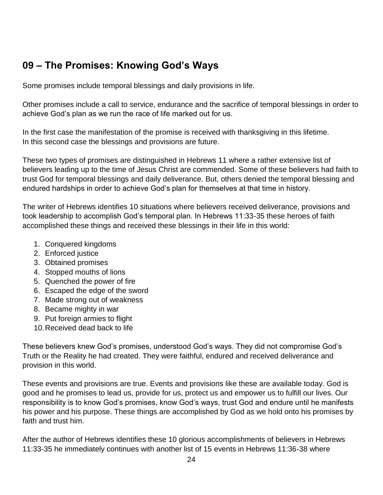## **09 – The Promises: Knowing God's Ways**

Some promises include temporal blessings and daily provisions in life.

Other promises include a call to service, endurance and the sacrifice of temporal blessings in order to achieve God's plan as we run the race of life marked out for us.

In the first case the manifestation of the promise is received with thanksgiving in this lifetime. In this second case the blessings and provisions are future.

These two types of promises are distinguished in Hebrews 11 where a rather extensive list of believers leading up to the time of Jesus Christ are commended. Some of these believers had faith to trust God for temporal blessings and daily deliverance. But, others denied the temporal blessing and endured hardships in order to achieve God's plan for themselves at that time in history.

The writer of Hebrews identifies 10 situations where believers received deliverance, provisions and took leadership to accomplish God's temporal plan. In Hebrews 11:33-35 these heroes of faith accomplished these things and received these blessings in their life in this world:

- 1. Conquered kingdoms
- 2. Enforced justice
- 3. Obtained promises
- 4. Stopped mouths of lions
- 5. Quenched the power of fire
- 6. Escaped the edge of the sword
- 7. Made strong out of weakness
- 8. Became mighty in war
- 9. Put foreign armies to flight
- 10.Received dead back to life

These believers knew God's promises, understood God's ways. They did not compromise God's Truth or the Reality he had created. They were faithful, endured and received deliverance and provision in this world.

These events and provisions are true. Events and provisions like these are available today. God is good and he promises to lead us, provide for us, protect us and empower us to fulfill our lives. Our responsibility is to know God's promises, know God's ways, trust God and endure until he manifests his power and his purpose. These things are accomplished by God as we hold onto his promises by faith and trust him.

After the author of Hebrews identifies these 10 glorious accomplishments of believers in Hebrews 11:33-35 he immediately continues with another list of 15 events in Hebrews 11:36-38 where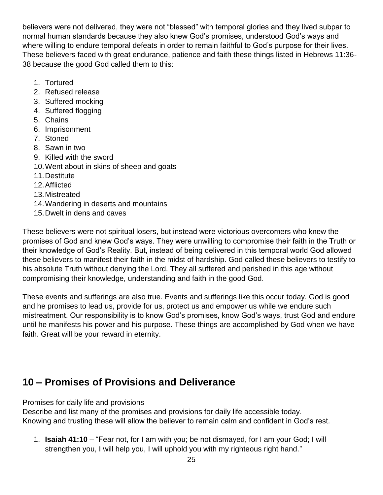believers were not delivered, they were not "blessed" with temporal glories and they lived subpar to normal human standards because they also knew God's promises, understood God's ways and where willing to endure temporal defeats in order to remain faithful to God's purpose for their lives. These believers faced with great endurance, patience and faith these things listed in Hebrews 11:36- 38 because the good God called them to this:

- 1. Tortured
- 2. Refused release
- 3. Suffered mocking
- 4. Suffered flogging
- 5. Chains
- 6. Imprisonment
- 7. Stoned
- 8. Sawn in two
- 9. Killed with the sword
- 10.Went about in skins of sheep and goats
- 11.Destitute
- 12.Afflicted
- 13.Mistreated
- 14.Wandering in deserts and mountains
- 15.Dwelt in dens and caves

These believers were not spiritual losers, but instead were victorious overcomers who knew the promises of God and knew God's ways. They were unwilling to compromise their faith in the Truth or their knowledge of God's Reality. But, instead of being delivered in this temporal world God allowed these believers to manifest their faith in the midst of hardship. God called these believers to testify to his absolute Truth without denying the Lord. They all suffered and perished in this age without compromising their knowledge, understanding and faith in the good God.

These events and sufferings are also true. Events and sufferings like this occur today. God is good and he promises to lead us, provide for us, protect us and empower us while we endure such mistreatment. Our responsibility is to know God's promises, know God's ways, trust God and endure until he manifests his power and his purpose. These things are accomplished by God when we have faith. Great will be your reward in eternity.

## **10 – Promises of Provisions and Deliverance**

Promises for daily life and provisions

Describe and list many of the promises and provisions for daily life accessible today. Knowing and trusting these will allow the believer to remain calm and confident in God's rest.

1. **Isaiah 41:10** – "Fear not, for I am with you; be not dismayed, for I am your God; I will strengthen you, I will help you, I will uphold you with my righteous right hand."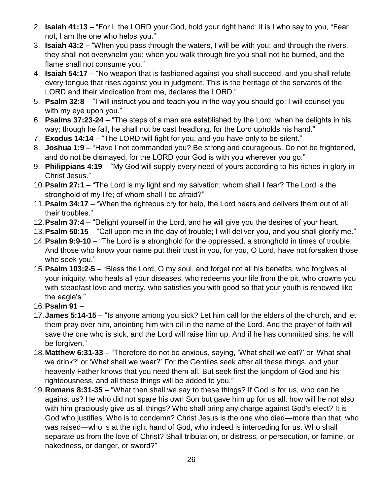- 2. **Isaiah 41:13** "For I, the LORD your God, hold your right hand; it is I who say to you, "Fear not, I am the one who helps you."
- 3. **Isaiah 43:2** "When you pass through the waters, I will be with you; and through the rivers, they shall not overwhelm you; when you walk through fire you shall not be burned, and the flame shall not consume you."
- 4. **Isaiah 54:17** "No weapon that is fashioned against you shall succeed, and you shall refute every tongue that rises against you in judgment. This is the heritage of the servants of the LORD and their vindication from me, declares the LORD."
- 5. **Psalm 32:8** "I will instruct you and teach you in the way you should go; I will counsel you with my eye upon you."
- 6. **Psalms 37:23-24** "The steps of a man are established by the Lord, when he delights in his way; though he fall, he shall not be cast headlong, for the Lord upholds his hand."
- 7. **Exodus 14:14** "The LORD will fight for you, and you have only to be silent."
- 8. **Joshua 1:9** "Have I not commanded you? Be strong and courageous. Do not be frightened, and do not be dismayed, for the LORD your God is with you wherever you go."
- 9. **Philippians 4:19** "My God will supply every need of yours according to his riches in glory in Christ Jesus."
- 10.**Psalm 27:1** "The Lord is my light and my salvation; whom shall I fear? The Lord is the stronghold of my life; of whom shall I be afraid?"
- 11.**Psalm 34:17** "When the righteous cry for help, the Lord hears and delivers them out of all their troubles."
- 12.**Psalm 37:4** "Delight yourself in the Lord, and he will give you the desires of your heart.
- 13.**Psalm 50:15** "Call upon me in the day of trouble; I will deliver you, and you shall glorify me."
- 14.**Psalm 9:9-10** "The Lord is a stronghold for the oppressed, a stronghold in times of trouble. And those who know your name put their trust in you, for you, O Lord, have not forsaken those who seek you."
- 15.**Psalm 103:2-5** "Bless the Lord, O my soul, and forget not all his benefits, who forgives all your iniquity, who heals all your diseases, who redeems your life from the pit, who crowns you with steadfast love and mercy, who satisfies you with good so that your youth is renewed like the eagle's."
- 16.**Psalm 91** –
- 17.**James 5:14-15** "Is anyone among you sick? Let him call for the elders of the church, and let them pray over him, anointing him with oil in the name of the Lord. And the prayer of faith will save the one who is sick, and the Lord will raise him up. And if he has committed sins, he will be forgiven."
- 18.**Matthew 6:31-33** "Therefore do not be anxious, saying, 'What shall we eat?' or 'What shall we drink?' or 'What shall we wear?' For the Gentiles seek after all these things, and your heavenly Father knows that you need them all. But seek first the kingdom of God and his righteousness, and all these things will be added to you."
- 19.**Romans 8:31-35** "What then shall we say to these things? If God is for us, who can be against us? He who did not spare his own Son but gave him up for us all, how will he not also with him graciously give us all things? Who shall bring any charge against God's elect? It is God who justifies. Who is to condemn? Christ Jesus is the one who died—more than that, who was raised—who is at the right hand of God, who indeed is interceding for us. Who shall separate us from the love of Christ? Shall tribulation, or distress, or persecution, or famine, or nakedness, or danger, or sword?"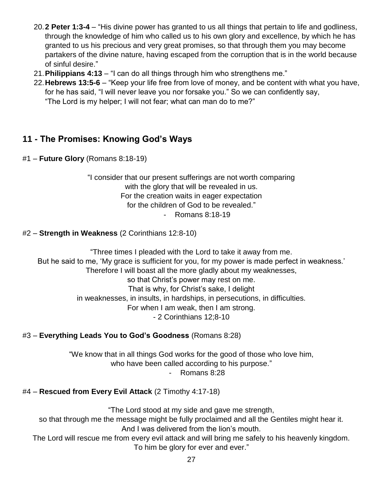- 20.**2 Peter 1:3-4** "His divine power has granted to us all things that pertain to life and godliness, through the knowledge of him who called us to his own glory and excellence, by which he has granted to us his precious and very great promises, so that through them you may become partakers of the divine nature, having escaped from the corruption that is in the world because of sinful desire."
- 21.**Philippians 4:13** "I can do all things through him who strengthens me."
- 22.**Hebrews 13:5-6** "Keep your life free from love of money, and be content with what you have, for he has said, "I will never leave you nor forsake you." So we can confidently say, "The Lord is my helper; I will not fear; what can man do to me?"

### **11 - The Promises: Knowing God's Ways**

#1 – **Future Glory** (Romans 8:18-19)

"I consider that our present sufferings are not worth comparing with the glory that will be revealed in us. For the creation waits in eager expectation for the children of God to be revealed." - Romans 8:18-19

#2 – **Strength in Weakness** (2 Corinthians 12:8-10)

"Three times I pleaded with the Lord to take it away from me. But he said to me, 'My grace is sufficient for you, for my power is made perfect in weakness.' Therefore I will boast all the more gladly about my weaknesses, so that Christ's power may rest on me. That is why, for Christ's sake, I delight in weaknesses, in insults, in hardships, in persecutions, in difficulties. For when I am weak, then I am strong. - 2 Corinthians 12;8-10

### #3 – **Everything Leads You to God's Goodness** (Romans 8:28)

"We know that in all things God works for the good of those who love him, who have been called according to his purpose." - Romans 8:28

#4 – **Rescued from Every Evil Attack** (2 Timothy 4:17-18)

"The Lord stood at my side and gave me strength,

so that through me the message might be fully proclaimed and all the Gentiles might hear it. And I was delivered from the lion's mouth.

The Lord will rescue me from every evil attack and will bring me safely to his heavenly kingdom. To him be glory for ever and ever."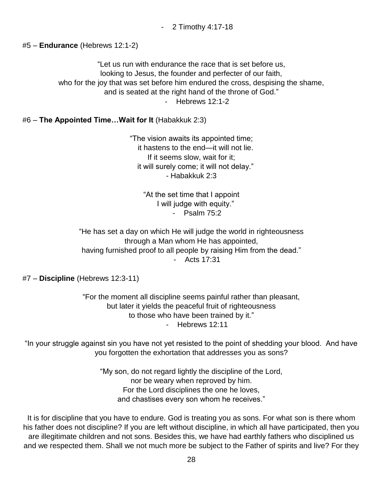- 2 Timothy 4:17-18

#5 – **Endurance** (Hebrews 12:1-2)

"Let us run with endurance the race that is set before us, looking to Jesus, the founder and perfecter of our faith, who for the joy that was set before him endured the cross, despising the shame, and is seated at the right hand of the throne of God." - Hebrews 12:1-2

#6 – **The Appointed Time…Wait for It** (Habakkuk 2:3)

"The vision awaits its appointed time; it hastens to the end—it will not lie. If it seems slow, wait for it; it will surely come; it will not delay." - Habakkuk 2:3

> "At the set time that I appoint I will judge with equity." - Psalm 75:2

"He has set a day on which He will judge the world in righteousness through a Man whom He has appointed, having furnished proof to all people by raising Him from the dead." - Acts  $17:31$ 

#7 – **Discipline** (Hebrews 12:3-11)

"For the moment all discipline seems painful rather than pleasant, but later it yields the peaceful fruit of righteousness to those who have been trained by it." - Hebrews 12:11

"In your struggle against sin you have not yet resisted to the point of shedding your blood. And have you forgotten the exhortation that addresses you as sons?

> "My son, do not regard lightly the discipline of the Lord, nor be weary when reproved by him. For the Lord disciplines the one he loves, and chastises every son whom he receives."

It is for discipline that you have to endure. God is treating you as sons. For what son is there whom his father does not discipline? If you are left without discipline, in which all have participated, then you are illegitimate children and not sons. Besides this, we have had earthly fathers who disciplined us and we respected them. Shall we not much more be subject to the Father of spirits and live? For they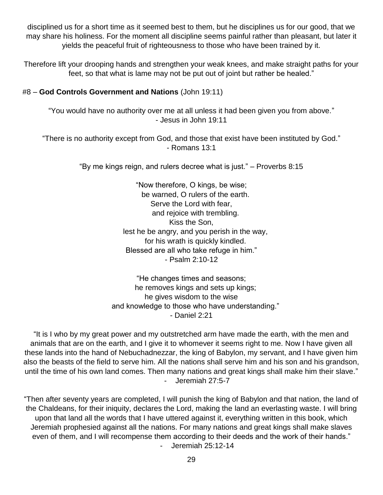disciplined us for a short time as it seemed best to them, but he disciplines us for our good, that we may share his holiness. For the moment all discipline seems painful rather than pleasant, but later it yields the peaceful fruit of righteousness to those who have been trained by it.

Therefore lift your drooping hands and strengthen your weak knees, and make straight paths for your feet, so that what is lame may not be put out of joint but rather be healed."

#### #8 – **God Controls Government and Nations** (John 19:11)

"You would have no authority over me at all unless it had been given you from above." - Jesus in John 19:11

"There is no authority except from God, and those that exist have been instituted by God." - Romans 13:1

"By me kings reign, and rulers decree what is just." – Proverbs 8:15

"Now therefore, O kings, be wise; be warned, O rulers of the earth. Serve the Lord with fear, and rejoice with trembling. Kiss the Son, lest he be angry, and you perish in the way, for his wrath is quickly kindled. Blessed are all who take refuge in him." - Psalm 2:10-12

"He changes times and seasons; he removes kings and sets up kings; he gives wisdom to the wise and knowledge to those who have understanding." - Daniel 2:21

"It is I who by my great power and my outstretched arm have made the earth, with the men and animals that are on the earth, and I give it to whomever it seems right to me. Now I have given all these lands into the hand of Nebuchadnezzar, the king of Babylon, my servant, and I have given him also the beasts of the field to serve him. All the nations shall serve him and his son and his grandson, until the time of his own land comes. Then many nations and great kings shall make him their slave." - Jeremiah 27:5-7

"Then after seventy years are completed, I will punish the king of Babylon and that nation, the land of the Chaldeans, for their iniquity, declares the Lord, making the land an everlasting waste. I will bring upon that land all the words that I have uttered against it, everything written in this book, which Jeremiah prophesied against all the nations. For many nations and great kings shall make slaves even of them, and I will recompense them according to their deeds and the work of their hands." - Jeremiah 25:12-14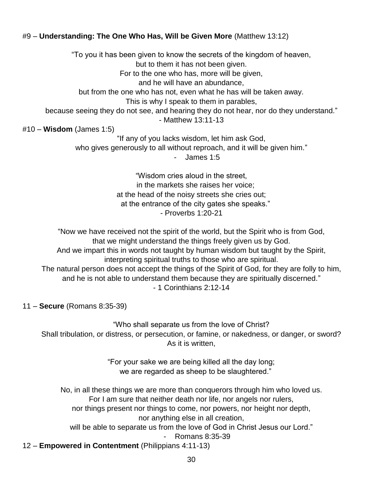### #9 – **Understanding: The One Who Has, Will be Given More** (Matthew 13:12)

"To you it has been given to know the secrets of the kingdom of heaven, but to them it has not been given. For to the one who has, more will be given, and he will have an abundance, but from the one who has not, even what he has will be taken away. This is why I speak to them in parables, because seeing they do not see, and hearing they do not hear, nor do they understand." - Matthew 13:11-13 #10 – **Wisdom** (James 1:5) "If any of you lacks wisdom, let him ask God, who gives generously to all without reproach, and it will be given him."

- James 1:5

"Wisdom cries aloud in the street, in the markets she raises her voice; at the head of the noisy streets she cries out; at the entrance of the city gates she speaks." - Proverbs 1:20-21

"Now we have received not the spirit of the world, but the Spirit who is from God, that we might understand the things freely given us by God. And we impart this in words not taught by human wisdom but taught by the Spirit, interpreting spiritual truths to those who are spiritual. The natural person does not accept the things of the Spirit of God, for they are folly to him, and he is not able to understand them because they are spiritually discerned." - 1 Corinthians 2:12-14

11 – **Secure** (Romans 8:35-39)

"Who shall separate us from the love of Christ? Shall tribulation, or distress, or persecution, or famine, or nakedness, or danger, or sword? As it is written,

> "For your sake we are being killed all the day long; we are regarded as sheep to be slaughtered."

No, in all these things we are more than conquerors through him who loved us. For I am sure that neither death nor life, nor angels nor rulers, nor things present nor things to come, nor powers, nor height nor depth, nor anything else in all creation,

will be able to separate us from the love of God in Christ Jesus our Lord."

- Romans 8:35-39

12 – **Empowered in Contentment** (Philippians 4:11-13)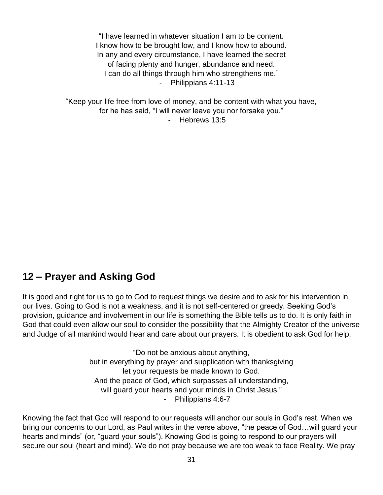"I have learned in whatever situation I am to be content. I know how to be brought low, and I know how to abound. In any and every circumstance, I have learned the secret of facing plenty and hunger, abundance and need. I can do all things through him who strengthens me." Philippians 4:11-13

"Keep your life free from love of money, and be content with what you have, for he has said, "I will never leave you nor forsake you." - Hebrews 13:5

### **12 – Prayer and Asking God**

It is good and right for us to go to God to request things we desire and to ask for his intervention in our lives. Going to God is not a weakness, and it is not self-centered or greedy. Seeking God's provision, guidance and involvement in our life is something the Bible tells us to do. It is only faith in God that could even allow our soul to consider the possibility that the Almighty Creator of the universe and Judge of all mankind would hear and care about our prayers. It is obedient to ask God for help.

> "Do not be anxious about anything, but in everything by prayer and supplication with thanksgiving let your requests be made known to God. And the peace of God, which surpasses all understanding, will guard your hearts and your minds in Christ Jesus." - Philippians 4:6-7

Knowing the fact that God will respond to our requests will anchor our souls in God's rest. When we bring our concerns to our Lord, as Paul writes in the verse above, "the peace of God…will guard your hearts and minds" (or, "guard your souls"). Knowing God is going to respond to our prayers will secure our soul (heart and mind). We do not pray because we are too weak to face Reality. We pray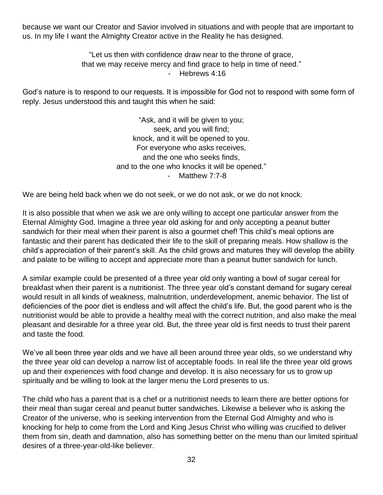because we want our Creator and Savior involved in situations and with people that are important to us. In my life I want the Almighty Creator active in the Reality he has designed.

> "Let us then with confidence draw near to the throne of grace, that we may receive mercy and find grace to help in time of need." Hebrews 4:16

God's nature is to respond to our requests. It is impossible for God not to respond with some form of reply. Jesus understood this and taught this when he said:

> "Ask, and it will be given to you; seek, and you will find; knock, and it will be opened to you. For everyone who asks receives, and the one who seeks finds, and to the one who knocks it will be opened." - Matthew 7:7-8

We are being held back when we do not seek, or we do not ask, or we do not knock.

It is also possible that when we ask we are only willing to accept one particular answer from the Eternal Almighty God. Imagine a three year old asking for and only accepting a peanut butter sandwich for their meal when their parent is also a gourmet chef! This child's meal options are fantastic and their parent has dedicated their life to the skill of preparing meals. How shallow is the child's appreciation of their parent's skill. As the child grows and matures they will develop the ability and palate to be willing to accept and appreciate more than a peanut butter sandwich for lunch.

A similar example could be presented of a three year old only wanting a bowl of sugar cereal for breakfast when their parent is a nutritionist. The three year old's constant demand for sugary cereal would result in all kinds of weakness, malnutrition, underdevelopment, anemic behavior. The list of deficiencies of the poor diet is endless and will affect the child's life. But, the good parent who is the nutritionist would be able to provide a healthy meal with the correct nutrition, and also make the meal pleasant and desirable for a three year old. But, the three year old is first needs to trust their parent and taste the food.

We've all been three year olds and we have all been around three year olds, so we understand why the three year old can develop a narrow list of acceptable foods. In real life the three year old grows up and their experiences with food change and develop. It is also necessary for us to grow up spiritually and be willing to look at the larger menu the Lord presents to us.

The child who has a parent that is a chef or a nutritionist needs to learn there are better options for their meal than sugar cereal and peanut butter sandwiches. Likewise a believer who is asking the Creator of the universe, who is seeking intervention from the Eternal God Almighty and who is knocking for help to come from the Lord and King Jesus Christ who willing was crucified to deliver them from sin, death and damnation, also has something better on the menu than our limited spiritual desires of a three-year-old-like believer.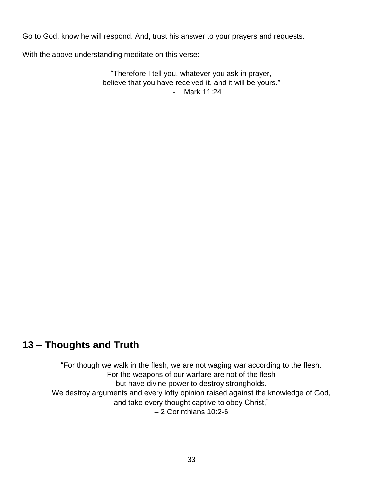Go to God, know he will respond. And, trust his answer to your prayers and requests.

With the above understanding meditate on this verse:

"Therefore I tell you, whatever you ask in prayer, believe that you have received it, and it will be yours." - Mark 11:24

### **13 – Thoughts and Truth**

"For though we walk in the flesh, we are not waging war according to the flesh. For the weapons of our warfare are not of the flesh but have divine power to destroy strongholds. We destroy arguments and every lofty opinion raised against the knowledge of God, and take every thought captive to obey Christ," – 2 Corinthians 10:2-6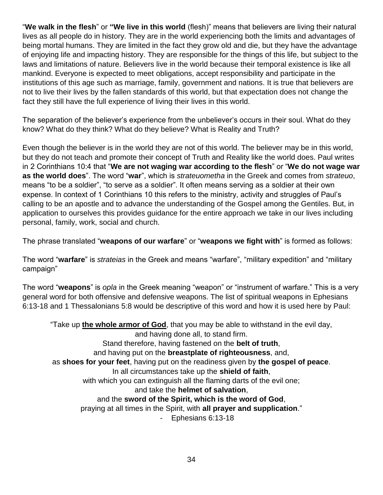"**We walk in the flesh**" or **"We live in this world** (flesh)" means that believers are living their natural lives as all people do in history. They are in the world experiencing both the limits and advantages of being mortal humans. They are limited in the fact they grow old and die, but they have the advantage of enjoying life and impacting history. They are responsible for the things of this life, but subject to the laws and limitations of nature. Believers live in the world because their temporal existence is like all mankind. Everyone is expected to meet obligations, accept responsibility and participate in the institutions of this age such as marriage, family, government and nations. It is true that believers are not to live their lives by the fallen standards of this world, but that expectation does not change the fact they still have the full experience of living their lives in this world.

The separation of the believer's experience from the unbeliever's occurs in their soul. What do they know? What do they think? What do they believe? What is Reality and Truth?

Even though the believer is in the world they are not of this world. The believer may be in this world, but they do not teach and promote their concept of Truth and Reality like the world does. Paul writes in 2 Corinthians 10:4 that "**We are not waging war according to the flesh**" or "**We do not wage war as the world does**". The word "**war**", which is *strateuometha* in the Greek and comes from *strateuo*, means "to be a soldier", "to serve as a soldier". It often means serving as a soldier at their own expense. In context of 1 Corinthians 10 this refers to the ministry, activity and struggles of Paul's calling to be an apostle and to advance the understanding of the Gospel among the Gentiles. But, in application to ourselves this provides guidance for the entire approach we take in our lives including personal, family, work, social and church.

The phrase translated "**weapons of our warfare**" or "**weapons we fight with**" is formed as follows:

The word "**warfare**" is *strateias* in the Greek and means "warfare", "military expedition" and "military campaign"

The word "**weapons**" is *opla* in the Greek meaning "weapon" or "instrument of warfare." This is a very general word for both offensive and defensive weapons. The list of spiritual weapons in Ephesians 6:13-18 and 1 Thessalonians 5:8 would be descriptive of this word and how it is used here by Paul:

"Take up **the whole armor of God**, that you may be able to withstand in the evil day, and having done all, to stand firm. Stand therefore, having fastened on the **belt of truth**, and having put on the **breastplate of righteousness**, and, as **shoes for your feet**, having put on the readiness given by **the gospel of peace**. In all circumstances take up the **shield of faith**, with which you can extinguish all the flaming darts of the evil one; and take the **helmet of salvation**, and the **sword of the Spirit, which is the word of God**, praying at all times in the Spirit, with **all prayer and supplication**." - Ephesians 6:13-18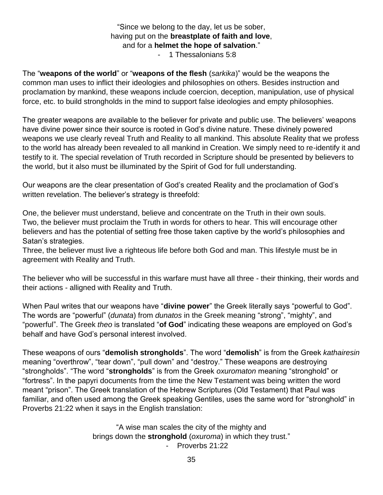### "Since we belong to the day, let us be sober, having put on the **breastplate of faith and love**, and for a **helmet the hope of salvation**." - 1 Thessalonians 5:8

The "**weapons of the world**" or "**weapons of the flesh** (*sarkika*)" would be the weapons the common man uses to inflict their ideologies and philosophies on others. Besides instruction and proclamation by mankind, these weapons include coercion, deception, manipulation, use of physical force, etc. to build strongholds in the mind to support false ideologies and empty philosophies.

The greater weapons are available to the believer for private and public use. The believers' weapons have divine power since their source is rooted in God's divine nature. These divinely powered weapons we use clearly reveal Truth and Reality to all mankind. This absolute Reality that we profess to the world has already been revealed to all mankind in Creation. We simply need to re-identify it and testify to it. The special revelation of Truth recorded in Scripture should be presented by believers to the world, but it also must be illuminated by the Spirit of God for full understanding.

Our weapons are the clear presentation of God's created Reality and the proclamation of God's written revelation. The believer's strategy is threefold:

One, the believer must understand, believe and concentrate on the Truth in their own souls. Two, the believer must proclaim the Truth in words for others to hear. This will encourage other believers and has the potential of setting free those taken captive by the world's philosophies and Satan's strategies.

Three, the believer must live a righteous life before both God and man. This lifestyle must be in agreement with Reality and Truth.

The believer who will be successful in this warfare must have all three - their thinking, their words and their actions - alligned with Reality and Truth.

When Paul writes that our weapons have "**divine power**" the Greek literally says "powerful to God". The words are "powerful" (*dunata*) from *dunatos* in the Greek meaning "strong", "mighty", and "powerful". The Greek *theo* is translated "**of God**" indicating these weapons are employed on God's behalf and have God's personal interest involved.

These weapons of ours "**demolish strongholds**". The word "**demolish**" is from the Greek *kathairesin* meaning "overthrow", "tear down", "pull down" and "destroy." These weapons are destroying "strongholds". "The word "**strongholds**" is from the Greek *oxuromaton* meaning "stronghold" or "fortress". In the papyri documents from the time the New Testament was being written the word meant "prison". The Greek translation of the Hebrew Scriptures (Old Testament) that Paul was familiar, and often used among the Greek speaking Gentiles, uses the same word for "stronghold" in Proverbs 21:22 when it says in the English translation:

> "A wise man scales the city of the mighty and brings down the **stronghold** (*oxuroma*) in which they trust." - Proverbs 21:22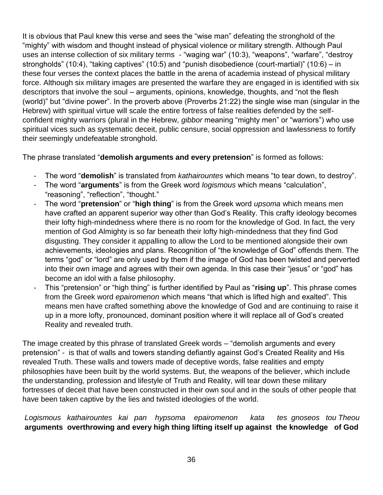It is obvious that Paul knew this verse and sees the "wise man" defeating the stronghold of the "mighty" with wisdom and thought instead of physical violence or military strength. Although Paul uses an intense collection of six military terms - "waging war" (10:3), "weapons", "warfare", "destroy strongholds" (10:4), "taking captives" (10:5) and "punish disobedience (court-martial)" (10:6) – in these four verses the context places the battle in the arena of academia instead of physical military force. Although six military images are presented the warfare they are engaged in is identified with six descriptors that involve the soul – arguments, opinions, knowledge, thoughts, and "not the flesh (world)" but "divine power". In the proverb above (Proverbs 21:22) the single wise man (singular in the Hebrew) with spiritual virtue will scale the entire fortress of false realities defended by the selfconfident mighty warriors (plural in the Hebrew, *gibbor* meaning "mighty men" or "warriors") who use spiritual vices such as systematic deceit, public censure, social oppression and lawlessness to fortify their seemingly undefeatable stronghold.

The phrase translated "**demolish arguments and every pretension**" is formed as follows:

- The word "**demolish**" is translated from *kathairountes* which means "to tear down, to destroy".
- The word "**arguments**" is from the Greek word *logismous* which means "calculation", "reasoning", "reflection", "thought."
- The word "**pretension**" or "**high thing**" is from the Greek word *upsoma* which means men have crafted an apparent superior way other than God's Reality. This crafty ideology becomes their lofty high-mindedness where there is no room for the knowledge of God. In fact, the very mention of God Almighty is so far beneath their lofty high-mindedness that they find God disgusting. They consider it appalling to allow the Lord to be mentioned alongside their own achievements, ideologies and plans. Recognition of "the knowledge of God" offends them. The terms "god" or "lord" are only used by them if the image of God has been twisted and perverted into their own image and agrees with their own agenda. In this case their "jesus" or "god" has become an idol with a false philosophy.
- This "pretension" or "high thing" is further identified by Paul as "**rising up**". This phrase comes from the Greek word *epairomenon* which means "that which is lifted high and exalted". This means men have crafted something above the knowledge of God and are continuing to raise it up in a more lofty, pronounced, dominant position where it will replace all of God's created Reality and revealed truth.

The image created by this phrase of translated Greek words – "demolish arguments and every pretension" - is that of walls and towers standing defiantly against God's Created Reality and His revealed Truth. These walls and towers made of deceptive words, false realities and empty philosophies have been built by the world systems. But, the weapons of the believer, which include the understanding, profession and lifestyle of Truth and Reality, will tear down these military fortresses of deceit that have been constructed in their own soul and in the souls of other people that have been taken captive by the lies and twisted ideologies of the world.

*Logismous kathairountes kai pan hypsoma epairomenon kata tes gnoseos tou Theou*  **arguments overthrowing and every high thing lifting itself up against the knowledge of God**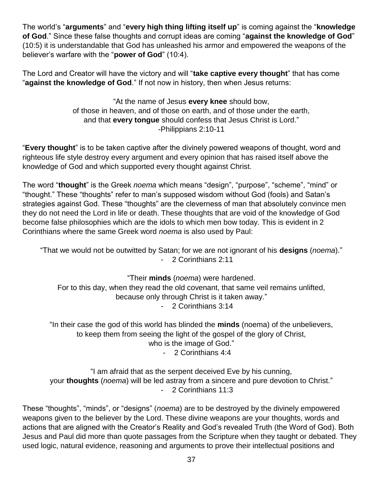The world's "**arguments**" and "**every high thing lifting itself up**" is coming against the "**knowledge of God**." Since these false thoughts and corrupt ideas are coming "**against the knowledge of God**" (10:5) it is understandable that God has unleashed his armor and empowered the weapons of the believer's warfare with the "**power of God**" (10:4).

The Lord and Creator will have the victory and will "**take captive every thought**" that has come "**against the knowledge of God**." If not now in history, then when Jesus returns:

> "At the name of Jesus **every knee** should bow, of those in heaven, and of those on earth, and of those under the earth, and that **every tongue** should confess that Jesus Christ is Lord." -Philippians 2:10-11

"**Every thought**" is to be taken captive after the divinely powered weapons of thought, word and righteous life style destroy every argument and every opinion that has raised itself above the knowledge of God and which supported every thought against Christ.

The word "**thought**" is the Greek *noema* which means "design", "purpose", "scheme", "mind" or "thought." These "thoughts" refer to man's supposed wisdom without God (fools) and Satan's strategies against God. These "thoughts" are the cleverness of man that absolutely convince men they do not need the Lord in life or death. These thoughts that are void of the knowledge of God become false philosophies which are the idols to which men bow today. This is evident in 2 Corinthians where the same Greek word *noema* is also used by Paul:

"That we would not be outwitted by Satan; for we are not ignorant of his **designs** (*noema*)." - 2 Corinthians 2:11

"Their **minds** (*noema*) were hardened. For to this day, when they read the old covenant, that same veil remains unlifted, because only through Christ is it taken away." - 2 Corinthians 3:14

"In their case the god of this world has blinded the **minds** (noema) of the unbelievers, to keep them from seeing the light of the gospel of the glory of Christ, who is the image of God." - 2 Corinthians 4:4

"I am afraid that as the serpent deceived Eve by his cunning, your **thoughts** (*noema*) will be led astray from a sincere and pure devotion to Christ." - 2 Corinthians 11:3

These "thoughts", "minds", or "designs" (*noema*) are to be destroyed by the divinely empowered weapons given to the believer by the Lord. These divine weapons are your thoughts, words and actions that are aligned with the Creator's Reality and God's revealed Truth (the Word of God). Both Jesus and Paul did more than quote passages from the Scripture when they taught or debated. They used logic, natural evidence, reasoning and arguments to prove their intellectual positions and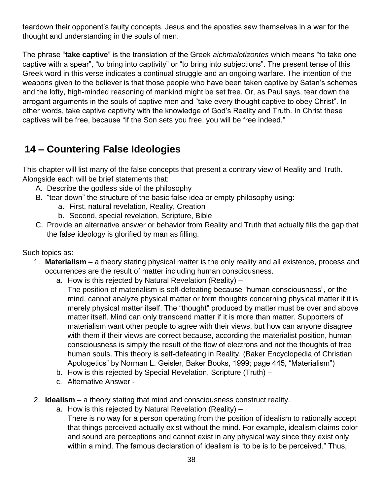teardown their opponent's faulty concepts. Jesus and the apostles saw themselves in a war for the thought and understanding in the souls of men.

The phrase "**take captive**" is the translation of the Greek *aichmalotizontes* which means "to take one captive with a spear", "to bring into captivity" or "to bring into subjections". The present tense of this Greek word in this verse indicates a continual struggle and an ongoing warfare. The intention of the weapons given to the believer is that those people who have been taken captive by Satan's schemes and the lofty, high-minded reasoning of mankind might be set free. Or, as Paul says, tear down the arrogant arguments in the souls of captive men and "take every thought captive to obey Christ". In other words, take captive captivity with the knowledge of God's Reality and Truth. In Christ these captives will be free, because "if the Son sets you free, you will be free indeed."

## **14 – Countering False Ideologies**

This chapter will list many of the false concepts that present a contrary view of Reality and Truth. Alongside each will be brief statements that:

- A. Describe the godless side of the philosophy
- B. "tear down" the structure of the basic false idea or empty philosophy using:
	- a. First, natural revelation, Reality, Creation
	- b. Second, special revelation, Scripture, Bible
- C. Provide an alternative answer or behavior from Reality and Truth that actually fills the gap that the false ideology is glorified by man as filling.

### Such topics as:

- 1. **Materialism** a theory stating physical matter is the only reality and all existence, process and occurrences are the result of matter including human consciousness.
	- a. How is this rejected by Natural Revelation (Reality)
		- The position of materialism is self-defeating because "human consciousness", or the mind, cannot analyze physical matter or form thoughts concerning physical matter if it is merely physical matter itself. The "thought" produced by matter must be over and above matter itself. Mind can only transcend matter if it is more than matter. Supporters of materialism want other people to agree with their views, but how can anyone disagree with them if their views are correct because, according the materialist position, human consciousness is simply the result of the flow of electrons and not the thoughts of free human souls. This theory is self-defeating in Reality. (Baker Encyclopedia of Christian Apologetics" by Norman L. Geisler, Baker Books, 1999; page 445, "Materialism")
	- b. How is this rejected by Special Revelation, Scripture (Truth) –
	- c. Alternative Answer -
- 2. **Idealism** a theory stating that mind and consciousness construct reality.
	- a. How is this rejected by Natural Revelation (Reality) There is no way for a person operating from the position of idealism to rationally accept that things perceived actually exist without the mind. For example, idealism claims color and sound are perceptions and cannot exist in any physical way since they exist only within a mind. The famous declaration of idealism is "to be is to be perceived." Thus,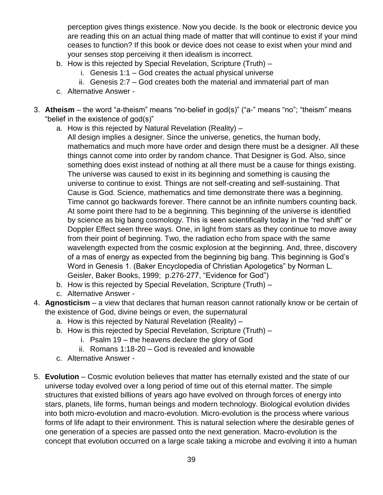perception gives things existence. Now you decide. Is the book or electronic device you are reading this on an actual thing made of matter that will continue to exist if your mind ceases to function? If this book or device does not cease to exist when your mind and your senses stop perceiving it then idealism is incorrect.

- b. How is this rejected by Special Revelation, Scripture (Truth)
	- i. Genesis 1:1 God creates the actual physical universe
	- ii. Genesis 2:7 God creates both the material and immaterial part of man
- c. Alternative Answer -
- 3. **Atheism** the word "a-theism" means "no-belief in god(s)" ("a-" means "no"; "theism" means "belief in the existence of god(s)"
	- a. How is this rejected by Natural Revelation (Reality)
		- All design implies a designer. Since the universe, genetics, the human body, mathematics and much more have order and design there must be a designer. All these things cannot come into order by random chance. That Designer is God. Also, since something does exist instead of nothing at all there must be a cause for things existing. The universe was caused to exist in its beginning and something is causing the universe to continue to exist. Things are not self-creating and self-sustaining. That Cause is God. Science, mathematics and time demonstrate there was a beginning. Time cannot go backwards forever. There cannot be an infinite numbers counting back. At some point there had to be a beginning. This beginning of the universe is identified by science as big bang cosmology. This is seen scientifically today in the "red shift" or Doppler Effect seen three ways. One, in light from stars as they continue to move away from their point of beginning. Two, the radiation echo from space with the same wavelength expected from the cosmic explosion at the beginning. And, three, discovery of a mas of energy as expected from the beginning big bang. This beginning is God's Word in Genesis 1. (Baker Encyclopedia of Christian Apologetics" by Norman L. Geisler, Baker Books, 1999; p.276-277, "Evidence for God")
	- b. How is this rejected by Special Revelation, Scripture (Truth) –
	- c. Alternative Answer -
- 4. **Agnosticism** a view that declares that human reason cannot rationally know or be certain of the existence of God, divine beings or even, the supernatural
	- a. How is this rejected by Natural Revelation (Reality) –
	- b. How is this rejected by Special Revelation, Scripture (Truth)
		- i. Psalm 19 the heavens declare the glory of God
		- ii. Romans 1:18-20 God is revealed and knowable
	- c. Alternative Answer -
- 5. **Evolution** Cosmic evolution believes that matter has eternally existed and the state of our universe today evolved over a long period of time out of this eternal matter. The simple structures that existed billions of years ago have evolved on through forces of energy into stars, planets, life forms, human beings and modern technology. Biological evolution divides into both micro-evolution and macro-evolution. Micro-evolution is the process where various forms of life adapt to their environment. This is natural selection where the desirable genes of one generation of a species are passed onto the next generation. Macro-evolution is the concept that evolution occurred on a large scale taking a microbe and evolving it into a human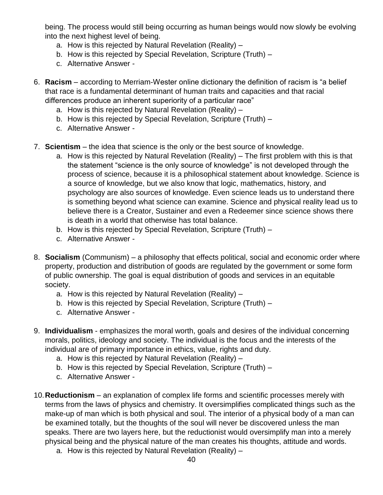being. The process would still being occurring as human beings would now slowly be evolving into the next highest level of being.

- a. How is this rejected by Natural Revelation (Reality) –
- b. How is this rejected by Special Revelation, Scripture (Truth) –
- c. Alternative Answer -
- 6. **Racism** according to Merriam-Wester online dictionary the definition of racism is "a belief that race is a fundamental determinant of human traits and capacities and that racial differences produce an inherent superiority of a particular race"
	- a. How is this rejected by Natural Revelation (Reality) –
	- b. How is this rejected by Special Revelation, Scripture (Truth) –
	- c. Alternative Answer -
- 7. **Scientism** the idea that science is the only or the best source of knowledge.
	- a. How is this rejected by Natural Revelation (Reality) The first problem with this is that the statement "science is the only source of knowledge" is not developed through the process of science, because it is a philosophical statement about knowledge. Science is a source of knowledge, but we also know that logic, mathematics, history, and psychology are also sources of knowledge. Even science leads us to understand there is something beyond what science can examine. Science and physical reality lead us to believe there is a Creator, Sustainer and even a Redeemer since science shows there is death in a world that otherwise has total balance.
	- b. How is this rejected by Special Revelation, Scripture (Truth) –
	- c. Alternative Answer -
- 8. **Socialism** (Communism) a philosophy that effects political, social and economic order where property, production and distribution of goods are regulated by the government or some form of public ownership. The goal is equal distribution of goods and services in an equitable society.
	- a. How is this rejected by Natural Revelation (Reality) –
	- b. How is this rejected by Special Revelation, Scripture (Truth) –
	- c. Alternative Answer -
- 9. **Individualism** emphasizes the moral worth, goals and desires of the individual concerning morals, politics, ideology and society. The individual is the focus and the interests of the individual are of primary importance in ethics, value, rights and duty.
	- a. How is this rejected by Natural Revelation (Reality) –
	- b. How is this rejected by Special Revelation, Scripture (Truth) –
	- c. Alternative Answer -
- 10.**Reductionism** an explanation of complex life forms and scientific processes merely with terms from the laws of physics and chemistry. It oversimplifies complicated things such as the make-up of man which is both physical and soul. The interior of a physical body of a man can be examined totally, but the thoughts of the soul will never be discovered unless the man speaks. There are two layers here, but the reductionist would oversimplify man into a merely physical being and the physical nature of the man creates his thoughts, attitude and words.
	- a. How is this rejected by Natural Revelation (Reality) –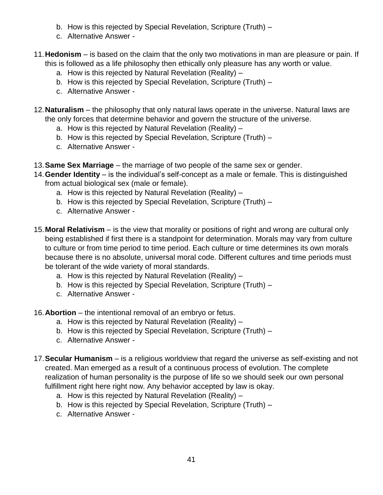- b. How is this rejected by Special Revelation, Scripture (Truth) –
- c. Alternative Answer -
- 11.**Hedonism** is based on the claim that the only two motivations in man are pleasure or pain. If this is followed as a life philosophy then ethically only pleasure has any worth or value.
	- a. How is this rejected by Natural Revelation (Reality) –
	- b. How is this rejected by Special Revelation, Scripture (Truth) –
	- c. Alternative Answer -
- 12.**Naturalism** the philosophy that only natural laws operate in the universe. Natural laws are the only forces that determine behavior and govern the structure of the universe.
	- a. How is this rejected by Natural Revelation (Reality) –
	- b. How is this rejected by Special Revelation, Scripture (Truth) –
	- c. Alternative Answer -
- 13.**Same Sex Marriage** the marriage of two people of the same sex or gender.
- 14.**Gender Identity** is the individual's self-concept as a male or female. This is distinguished from actual biological sex (male or female).
	- a. How is this rejected by Natural Revelation (Reality) –
	- b. How is this rejected by Special Revelation, Scripture (Truth) –
	- c. Alternative Answer -
- 15.**Moral Relativism** is the view that morality or positions of right and wrong are cultural only being established if first there is a standpoint for determination. Morals may vary from culture to culture or from time period to time period. Each culture or time determines its own morals because there is no absolute, universal moral code. Different cultures and time periods must be tolerant of the wide variety of moral standards.
	- a. How is this rejected by Natural Revelation (Reality) –
	- b. How is this rejected by Special Revelation, Scripture (Truth) –
	- c. Alternative Answer -
- 16.**Abortion** the intentional removal of an embryo or fetus.
	- a. How is this rejected by Natural Revelation (Reality) –
	- b. How is this rejected by Special Revelation, Scripture (Truth) –
	- c. Alternative Answer -
- 17.**Secular Humanism** is a religious worldview that regard the universe as self-existing and not created. Man emerged as a result of a continuous process of evolution. The complete realization of human personality is the purpose of life so we should seek our own personal fulfillment right here right now. Any behavior accepted by law is okay.
	- a. How is this rejected by Natural Revelation (Reality) –
	- b. How is this rejected by Special Revelation, Scripture (Truth) –
	- c. Alternative Answer -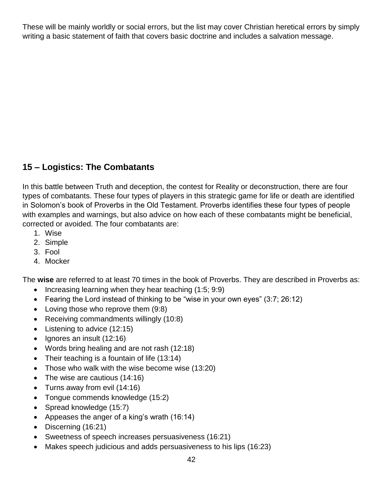These will be mainly worldly or social errors, but the list may cover Christian heretical errors by simply writing a basic statement of faith that covers basic doctrine and includes a salvation message.

### **15 – Logistics: The Combatants**

In this battle between Truth and deception, the contest for Reality or deconstruction, there are four types of combatants. These four types of players in this strategic game for life or death are identified in Solomon's book of Proverbs in the Old Testament. Proverbs identifies these four types of people with examples and warnings, but also advice on how each of these combatants might be beneficial, corrected or avoided. The four combatants are:

- 1. Wise
- 2. Simple
- 3. Fool
- 4. Mocker

The **wise** are referred to at least 70 times in the book of Proverbs. They are described in Proverbs as:

- $\bullet$  Increasing learning when they hear teaching (1:5; 9:9)
- Fearing the Lord instead of thinking to be "wise in your own eyes" (3:7; 26:12)
- Loving those who reprove them (9:8)
- Receiving commandments willingly (10:8)
- Listening to advice (12:15)
- $\bullet$  Ignores an insult (12:16)
- Words bring healing and are not rash (12:18)
- Their teaching is a fountain of life  $(13:14)$
- Those who walk with the wise become wise (13:20)
- The wise are cautious (14:16)
- Turns away from evil (14:16)
- Tongue commends knowledge (15:2)
- Spread knowledge (15:7)
- Appeases the anger of a king's wrath (16:14)
- Discerning (16:21)
- Sweetness of speech increases persuasiveness (16:21)
- Makes speech judicious and adds persuasiveness to his lips (16:23)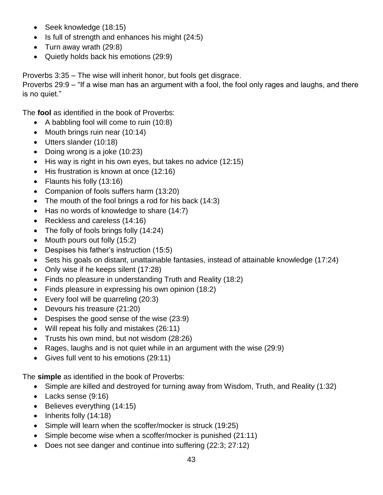- Seek knowledge (18:15)
- $\bullet$  Is full of strength and enhances his might (24:5)
- Turn away wrath  $(29:8)$
- Quietly holds back his emotions (29:9)

Proverbs 3:35 – The wise will inherit honor, but fools get disgrace.

Proverbs 29:9 – "If a wise man has an argument with a fool, the fool only rages and laughs, and there is no quiet."

The **fool** as identified in the book of Proverbs:

- A babbling fool will come to ruin (10:8)
- Mouth brings ruin near (10:14)
- Utters slander (10:18)
- Doing wrong is a joke (10:23)
- $\bullet$  His way is right in his own eyes, but takes no advice (12:15)
- $\bullet$  His frustration is known at once (12:16)
- Flaunts his folly (13:16)
- Companion of fools suffers harm (13:20)
- The mouth of the fool brings a rod for his back (14:3)
- $\bullet$  Has no words of knowledge to share (14:7)
- Reckless and careless (14:16)
- The folly of fools brings folly (14:24)
- Mouth pours out folly (15:2)
- Despises his father's instruction (15:5)
- Sets his goals on distant, unattainable fantasies, instead of attainable knowledge (17:24)
- Only wise if he keeps silent (17:28)
- Finds no pleasure in understanding Truth and Reality (18:2)
- Finds pleasure in expressing his own opinion (18:2)
- Every fool will be quarreling (20:3)
- Devours his treasure (21:20)
- Despises the good sense of the wise (23:9)
- Will repeat his folly and mistakes (26:11)
- Trusts his own mind, but not wisdom (28:26)
- Rages, laughs and is not quiet while in an argument with the wise (29:9)
- Gives full vent to his emotions (29:11)

The **simple** as identified in the book of Proverbs:

- Simple are killed and destroyed for turning away from Wisdom, Truth, and Reality (1:32)
- Lacks sense (9:16)
- $\bullet$  Believes everything (14:15)
- $\bullet$  Inherits folly (14:18)
- Simple will learn when the scoffer/mocker is struck (19:25)
- Simple become wise when a scoffer/mocker is punished (21:11)
- Does not see danger and continue into suffering (22:3; 27:12)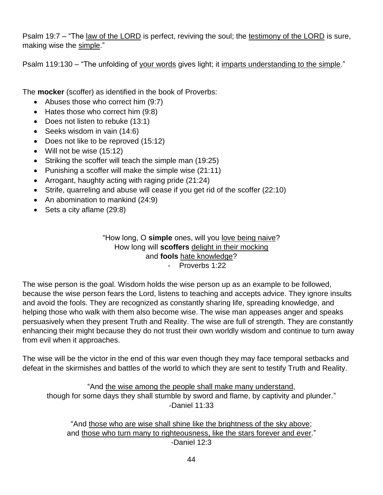Psalm 19:7 – "The law of the LORD is perfect, reviving the soul; the testimony of the LORD is sure, making wise the simple."

Psalm 119:130 – "The unfolding of your words gives light; it imparts understanding to the simple."

The **mocker** (scoffer) as identified in the book of Proverbs:

- Abuses those who correct him (9:7)
- $\bullet$  Hates those who correct him (9:8)
- Does not listen to rebuke (13:1)
- Seeks wisdom in vain (14:6)
- Does not like to be reproved (15:12)
- Will not be wise (15:12)
- Striking the scoffer will teach the simple man (19:25)
- Punishing a scoffer will make the simple wise (21:11)
- Arrogant, haughty acting with raging pride (21:24)
- Strife, quarreling and abuse will cease if you get rid of the scoffer (22:10)
- An abomination to mankind  $(24.9)$
- $\bullet$  Sets a city aflame (29:8)

"How long, O **simple** ones, will you love being naive? How long will **scoffers** delight in their mocking and **fools** hate knowledge? - Proverbs 1:22

The wise person is the goal. Wisdom holds the wise person up as an example to be followed, because the wise person fears the Lord, listens to teaching and accepts advice. They ignore insults and avoid the fools. They are recognized as constantly sharing life, spreading knowledge, and helping those who walk with them also become wise. The wise man appeases anger and speaks persuasively when they present Truth and Reality. The wise are full of strength. They are constantly enhancing their might because they do not trust their own worldly wisdom and continue to turn away from evil when it approaches.

The wise will be the victor in the end of this war even though they may face temporal setbacks and defeat in the skirmishes and battles of the world to which they are sent to testify Truth and Reality.

"And the wise among the people shall make many understand, though for some days they shall stumble by sword and flame, by captivity and plunder." -Daniel 11:33

"And those who are wise shall shine like the brightness of the sky above; and those who turn many to righteousness, like the stars forever and ever." -Daniel 12:3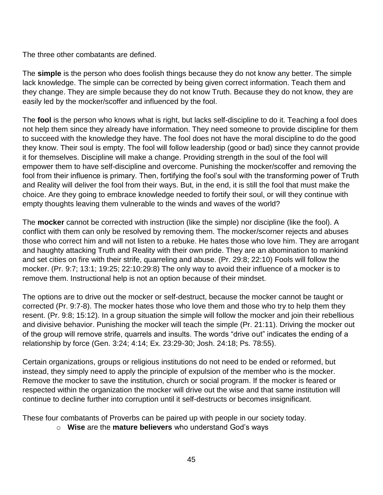The three other combatants are defined.

The **simple** is the person who does foolish things because they do not know any better. The simple lack knowledge. The simple can be corrected by being given correct information. Teach them and they change. They are simple because they do not know Truth. Because they do not know, they are easily led by the mocker/scoffer and influenced by the fool.

The **fool** is the person who knows what is right, but lacks self-discipline to do it. Teaching a fool does not help them since they already have information. They need someone to provide discipline for them to succeed with the knowledge they have. The fool does not have the moral discipline to do the good they know. Their soul is empty. The fool will follow leadership (good or bad) since they cannot provide it for themselves. Discipline will make a change. Providing strength in the soul of the fool will empower them to have self-discipline and overcome. Punishing the mocker/scoffer and removing the fool from their influence is primary. Then, fortifying the fool's soul with the transforming power of Truth and Reality will deliver the fool from their ways. But, in the end, it is still the fool that must make the choice. Are they going to embrace knowledge needed to fortify their soul, or will they continue with empty thoughts leaving them vulnerable to the winds and waves of the world?

The **mocker** cannot be corrected with instruction (like the simple) nor discipline (like the fool). A conflict with them can only be resolved by removing them. The mocker/scorner rejects and abuses those who correct him and will not listen to a rebuke. He hates those who love him. They are arrogant and haughty attacking Truth and Reality with their own pride. They are an abomination to mankind and set cities on fire with their strife, quarreling and abuse. (Pr. 29:8; 22:10) Fools will follow the mocker. (Pr. 9:7; 13:1; 19:25; 22:10:29:8) The only way to avoid their influence of a mocker is to remove them. Instructional help is not an option because of their mindset.

The options are to drive out the mocker or self-destruct, because the mocker cannot be taught or corrected (Pr. 9:7-8). The mocker hates those who love them and those who try to help them they resent. (Pr. 9:8; 15:12). In a group situation the simple will follow the mocker and join their rebellious and divisive behavior. Punishing the mocker will teach the simple (Pr. 21:11). Driving the mocker out of the group will remove strife, quarrels and insults. The words "drive out" indicates the ending of a relationship by force (Gen. 3:24; 4:14; Ex. 23:29-30; Josh. 24:18; Ps. 78:55).

Certain organizations, groups or religious institutions do not need to be ended or reformed, but instead, they simply need to apply the principle of expulsion of the member who is the mocker. Remove the mocker to save the institution, church or social program. If the mocker is feared or respected within the organization the mocker will drive out the wise and that same institution will continue to decline further into corruption until it self-destructs or becomes insignificant.

These four combatants of Proverbs can be paired up with people in our society today.

o **Wise** are the **mature believers** who understand God's ways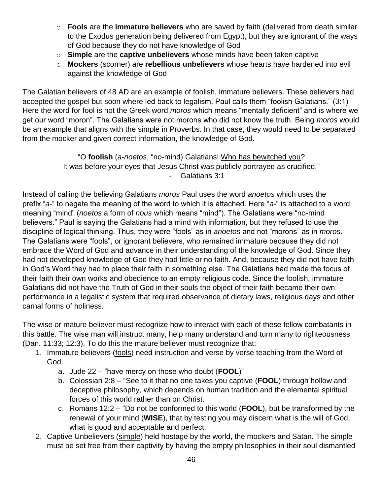- o **Fools** are the **immature believers** who are saved by faith (delivered from death similar to the Exodus generation being delivered from Egypt), but they are ignorant of the ways of God because they do not have knowledge of God
- o **Simple** are the **captive unbelievers** whose minds have been taken captive
- o **Mockers** (scorner) are **rebellious unbelievers** whose hearts have hardened into evil against the knowledge of God

The Galatian believers of 48 AD are an example of foolish, immature believers. These believers had accepted the gospel but soon where led back to legalism. Paul calls them "foolish Galatians." (3:1) Here the word for fool is not the Greek word *moros* which means "mentally deficient" and is where we get our word "moron". The Galatians were not morons who did not know the truth. Being *moros* would be an example that aligns with the simple in Proverbs. In that case, they would need to be separated from the mocker and given correct information, the knowledge of God.

> "O **foolish** (*a-noetos*, "no-mind) Galatians! Who has bewitched you? It was before your eyes that Jesus Christ was publicly portrayed as crucified." - Galatians 3:1

Instead of calling the believing Galatians *moros* Paul uses the word *anoetos* which uses the prefix "*a*-" to negate the meaning of the word to which it is attached. Here "*a*-" is attached to a word meaning "mind" (*noetos* a form of *nous* which means "mind"). The Galatians were "no-mind believers." Paul is saying the Galatians had a mind with information, but they refused to use the discipline of logical thinking. Thus, they were "fools" as in *anoetos* and not "morons" as in *moros*. The Galatians were "fools", or ignorant believers, who remained immature because they did not embrace the Word of God and advance in their understanding of the knowledge of God. Since they had not developed knowledge of God they had little or no faith. And, because they did not have faith in God's Word they had to place their faith in something else. The Galatians had made the focus of their faith their own works and obedience to an empty religious code. Since the foolish, immature Galatians did not have the Truth of God in their souls the object of their faith became their own performance in a legalistic system that required observance of dietary laws, religious days and other carnal forms of holiness.

The wise or mature believer must recognize how to interact with each of these fellow combatants in this battle. The wise man will instruct many, help many understand and turn many to righteousness (Dan. 11:33; 12:3). To do this the mature believer must recognize that:

- 1. Immature believers (fools) need instruction and verse by verse teaching from the Word of God.
	- a. Jude 22 "have mercy on those who doubt (**FOOL**)"
	- b. Colossian 2:8 "See to it that no one takes you captive (**FOOL**) through hollow and deceptive philosophy, which depends on human tradition and the elemental spiritual forces of this world rather than on Christ.
	- c. Romans 12:2 "Do not be conformed to this world (**FOOL**), but be transformed by the renewal of your mind (**WISE**), that by testing you may discern what is the will of God, what is good and acceptable and perfect.
- 2. Captive Unbelievers (simple) held hostage by the world, the mockers and Satan. The simple must be set free from their captivity by having the empty philosophies in their soul dismantled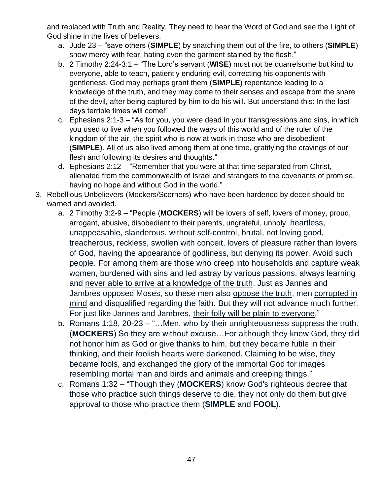and replaced with Truth and Reality. They need to hear the Word of God and see the Light of God shine in the lives of believers.

- a. Jude 23 "save others (**SIMPLE**) by snatching them out of the fire, to others (**SIMPLE**) show mercy with fear, hating even the garment stained by the flesh."
- b. 2 Timothy 2:24-3:1 "The Lord's servant (**WISE**) must not be quarrelsome but kind to everyone, able to teach, patiently enduring evil, correcting his opponents with gentleness. God may perhaps grant them (**SIMPLE**) repentance leading to a knowledge of the truth, and they may come to their senses and escape from the snare of the devil, after being captured by him to do his will. But understand this: In the last days terrible times will come!"
- c. Ephesians 2:1-3 "As for you, you were dead in your transgressions and sins, in which you used to live when you followed the ways of this world and of the ruler of the kingdom of the air, the spirit who is now at work in those who are disobedient (**SIMPLE**). All of us also lived among them at one time, gratifying the cravings of our flesh and following its desires and thoughts."
- d. Ephesians 2:12 "Remember that you were at that time separated from Christ, alienated from the commonwealth of Israel and strangers to the covenants of promise, having no hope and without God in the world."
- 3. Rebellious Unbelievers (Mockers/Scorners) who have been hardened by deceit should be warned and avoided.
	- a. 2 Timothy 3:2-9 "People (**MOCKERS**) will be lovers of self, lovers of money, proud, arrogant, abusive, disobedient to their parents, ungrateful, unholy, heartless, unappeasable, slanderous, without self-control, brutal, not loving good, treacherous, reckless, swollen with conceit, lovers of pleasure rather than lovers of God, having the appearance of godliness, but denying its power. Avoid such people. For among them are those who creep into households and capture weak women, burdened with sins and led astray by various passions, always learning and never able to arrive at a knowledge of the truth. Just as Jannes and Jambres opposed Moses, so these men also oppose the truth, men corrupted in mind and disqualified regarding the faith. But they will not advance much further. For just like Jannes and Jambres, their folly will be plain to everyone."
	- b. Romans 1:18, 20-23 "…Men, who by their unrighteousness suppress the truth. (**MOCKERS**) So they are without excuse…For although they knew God, they did not honor him as God or give thanks to him, but they became futile in their thinking, and their foolish hearts were darkened. Claiming to be wise, they became fools, and exchanged the glory of the immortal God for images resembling mortal man and birds and animals and creeping things."
	- c. Romans 1:32 "Though they (**MOCKERS**) know God's righteous decree that those who practice such things deserve to die, they not only do them but give approval to those who practice them (**SIMPLE** and **FOOL**).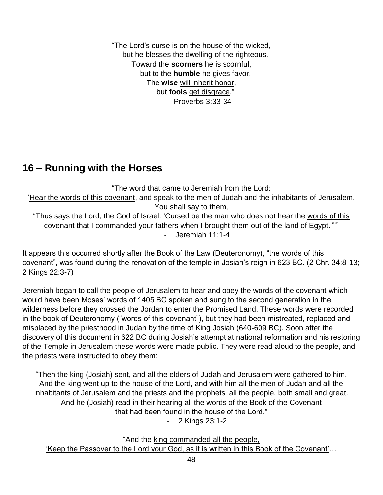"The Lord's curse is on the house of the wicked, but he blesses the dwelling of the righteous. Toward the **scorners** he is scornful, but to the **humble** he gives favor. The **wise** will inherit honor, but **fools** get disgrace." - Proverbs 3:33-34

## **16 – Running with the Horses**

"The word that came to Jeremiah from the Lord: 'Hear the words of this covenant, and speak to the men of Judah and the inhabitants of Jerusalem. You shall say to them, "Thus says the Lord, the God of Israel: 'Cursed be the man who does not hear the words of this

covenant that I commanded your fathers when I brought them out of the land of Egypt.'"'" - Jeremiah 11:1-4

It appears this occurred shortly after the Book of the Law (Deuteronomy), "the words of this covenant", was found during the renovation of the temple in Josiah's reign in 623 BC. (2 Chr. 34:8-13; 2 Kings 22:3-7)

Jeremiah began to call the people of Jerusalem to hear and obey the words of the covenant which would have been Moses' words of 1405 BC spoken and sung to the second generation in the wilderness before they crossed the Jordan to enter the Promised Land. These words were recorded in the book of Deuteronomy ("words of this covenant"), but they had been mistreated, replaced and misplaced by the priesthood in Judah by the time of King Josiah (640-609 BC). Soon after the discovery of this document in 622 BC during Josiah's attempt at national reformation and his restoring of the Temple in Jerusalem these words were made public. They were read aloud to the people, and the priests were instructed to obey them:

"Then the king (Josiah) sent, and all the elders of Judah and Jerusalem were gathered to him. And the king went up to the house of the Lord, and with him all the men of Judah and all the inhabitants of Jerusalem and the priests and the prophets, all the people, both small and great. And he (Josiah) read in their hearing all the words of the Book of the Covenant that had been found in the house of the Lord." - 2 Kings 23:1-2

"And the king commanded all the people, 'Keep the Passover to the Lord your God, as it is written in this Book of the Covenant'…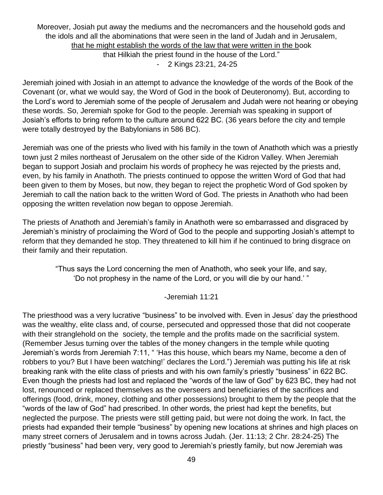#### Moreover, Josiah put away the mediums and the necromancers and the household gods and the idols and all the abominations that were seen in the land of Judah and in Jerusalem, that he might establish the words of the law that were written in the book that Hilkiah the priest found in the house of the Lord." - 2 Kings 23:21, 24-25

Jeremiah joined with Josiah in an attempt to advance the knowledge of the words of the Book of the Covenant (or, what we would say, the Word of God in the book of Deuteronomy). But, according to the Lord's word to Jeremiah some of the people of Jerusalem and Judah were not hearing or obeying these words. So, Jeremiah spoke for God to the people. Jeremiah was speaking in support of Josiah's efforts to bring reform to the culture around 622 BC. (36 years before the city and temple were totally destroyed by the Babylonians in 586 BC).

Jeremiah was one of the priests who lived with his family in the town of Anathoth which was a priestly town just 2 miles northeast of Jerusalem on the other side of the Kidron Valley. When Jeremiah began to support Josiah and proclaim his words of prophecy he was rejected by the priests and, even, by his family in Anathoth. The priests continued to oppose the written Word of God that had been given to them by Moses, but now, they began to reject the prophetic Word of God spoken by Jeremiah to call the nation back to the written Word of God. The priests in Anathoth who had been opposing the written revelation now began to oppose Jeremiah.

The priests of Anathoth and Jeremiah's family in Anathoth were so embarrassed and disgraced by Jeremiah's ministry of proclaiming the Word of God to the people and supporting Josiah's attempt to reform that they demanded he stop. They threatened to kill him if he continued to bring disgrace on their family and their reputation.

"Thus says the Lord concerning the men of Anathoth, who seek your life, and say, 'Do not prophesy in the name of the Lord, or you will die by our hand.' "

-Jeremiah 11:21

The priesthood was a very lucrative "business" to be involved with. Even in Jesus' day the priesthood was the wealthy, elite class and, of course, persecuted and oppressed those that did not cooperate with their stranglehold on the society, the temple and the profits made on the sacrificial system. (Remember Jesus turning over the tables of the money changers in the temple while quoting Jeremiah's words from Jeremiah 7:11, " 'Has this house, which bears my Name, become a den of robbers to you? But I have been watching!' declares the Lord.") Jeremiah was putting his life at risk breaking rank with the elite class of priests and with his own family's priestly "business" in 622 BC. Even though the priests had lost and replaced the "words of the law of God" by 623 BC, they had not lost, renounced or replaced themselves as the overseers and beneficiaries of the sacrifices and offerings (food, drink, money, clothing and other possessions) brought to them by the people that the "words of the law of God" had prescribed. In other words, the priest had kept the benefits, but neglected the purpose. The priests were still getting paid, but were not doing the work. In fact, the priests had expanded their temple "business" by opening new locations at shrines and high places on many street corners of Jerusalem and in towns across Judah. (Jer. 11:13; 2 Chr. 28:24-25) The priestly "business" had been very, very good to Jeremiah's priestly family, but now Jeremiah was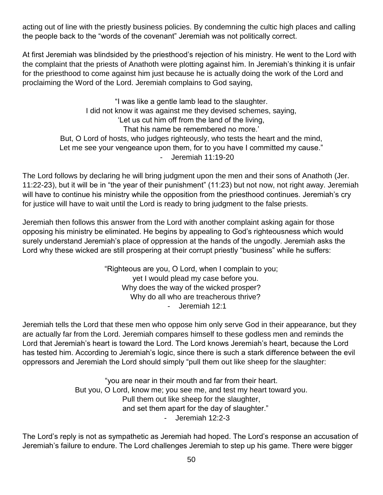acting out of line with the priestly business policies. By condemning the cultic high places and calling the people back to the "words of the covenant" Jeremiah was not politically correct.

At first Jeremiah was blindsided by the priesthood's rejection of his ministry. He went to the Lord with the complaint that the priests of Anathoth were plotting against him. In Jeremiah's thinking it is unfair for the priesthood to come against him just because he is actually doing the work of the Lord and proclaiming the Word of the Lord. Jeremiah complains to God saying,

> "I was like a gentle lamb lead to the slaughter. I did not know it was against me they devised schemes, saying, 'Let us cut him off from the land of the living, That his name be remembered no more.' But, O Lord of hosts, who judges righteously, who tests the heart and the mind, Let me see your vengeance upon them, for to you have I committed my cause." - Jeremiah 11:19-20

The Lord follows by declaring he will bring judgment upon the men and their sons of Anathoth (Jer. 11:22-23), but it will be in "the year of their punishment" (11:23) but not now, not right away. Jeremiah will have to continue his ministry while the opposition from the priesthood continues. Jeremiah's cry for justice will have to wait until the Lord is ready to bring judgment to the false priests.

Jeremiah then follows this answer from the Lord with another complaint asking again for those opposing his ministry be eliminated. He begins by appealing to God's righteousness which would surely understand Jeremiah's place of oppression at the hands of the ungodly. Jeremiah asks the Lord why these wicked are still prospering at their corrupt priestly "business" while he suffers:

> "Righteous are you, O Lord, when I complain to you; yet I would plead my case before you. Why does the way of the wicked prosper? Why do all who are treacherous thrive? Jeremiah 12:1

Jeremiah tells the Lord that these men who oppose him only serve God in their appearance, but they are actually far from the Lord. Jeremiah compares himself to these godless men and reminds the Lord that Jeremiah's heart is toward the Lord. The Lord knows Jeremiah's heart, because the Lord has tested him. According to Jeremiah's logic, since there is such a stark difference between the evil oppressors and Jeremiah the Lord should simply "pull them out like sheep for the slaughter:

> "you are near in their mouth and far from their heart. But you, O Lord, know me; you see me, and test my heart toward you. Pull them out like sheep for the slaughter, and set them apart for the day of slaughter." - Jeremiah 12:2-3

The Lord's reply is not as sympathetic as Jeremiah had hoped. The Lord's response an accusation of Jeremiah's failure to endure. The Lord challenges Jeremiah to step up his game. There were bigger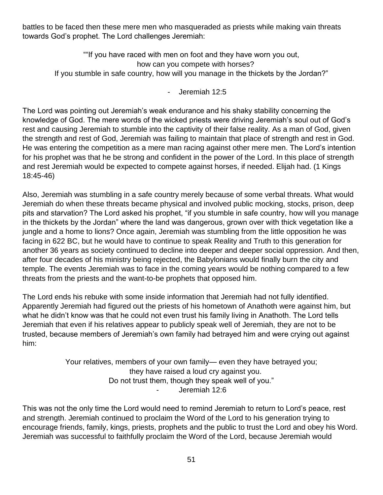battles to be faced then these mere men who masqueraded as priests while making vain threats towards God's prophet. The Lord challenges Jeremiah:

> ""If you have raced with men on foot and they have worn you out, how can you compete with horses? If you stumble in safe country, how will you manage in the thickets by the Jordan?"

> > - Jeremiah 12:5

The Lord was pointing out Jeremiah's weak endurance and his shaky stability concerning the knowledge of God. The mere words of the wicked priests were driving Jeremiah's soul out of God's rest and causing Jeremiah to stumble into the captivity of their false reality. As a man of God, given the strength and rest of God, Jeremiah was failing to maintain that place of strength and rest in God. He was entering the competition as a mere man racing against other mere men. The Lord's intention for his prophet was that he be strong and confident in the power of the Lord. In this place of strength and rest Jeremiah would be expected to compete against horses, if needed. Elijah had. (1 Kings 18:45-46)

Also, Jeremiah was stumbling in a safe country merely because of some verbal threats. What would Jeremiah do when these threats became physical and involved public mocking, stocks, prison, deep pits and starvation? The Lord asked his prophet, "if you stumble in safe country, how will you manage in the thickets by the Jordan" where the land was dangerous, grown over with thick vegetation like a jungle and a home to lions? Once again, Jeremiah was stumbling from the little opposition he was facing in 622 BC, but he would have to continue to speak Reality and Truth to this generation for another 36 years as society continued to decline into deeper and deeper social oppression. And then, after four decades of his ministry being rejected, the Babylonians would finally burn the city and temple. The events Jeremiah was to face in the coming years would be nothing compared to a few threats from the priests and the want-to-be prophets that opposed him.

The Lord ends his rebuke with some inside information that Jeremiah had not fully identified. Apparently Jeremiah had figured out the priests of his hometown of Anathoth were against him, but what he didn't know was that he could not even trust his family living in Anathoth. The Lord tells Jeremiah that even if his relatives appear to publicly speak well of Jeremiah, they are not to be trusted, because members of Jeremiah's own family had betrayed him and were crying out against him:

> Your relatives, members of your own family— even they have betrayed you; they have raised a loud cry against you. Do not trust them, though they speak well of you." Jeremiah 12:6

This was not the only time the Lord would need to remind Jeremiah to return to Lord's peace, rest and strength. Jeremiah continued to proclaim the Word of the Lord to his generation trying to encourage friends, family, kings, priests, prophets and the public to trust the Lord and obey his Word. Jeremiah was successful to faithfully proclaim the Word of the Lord, because Jeremiah would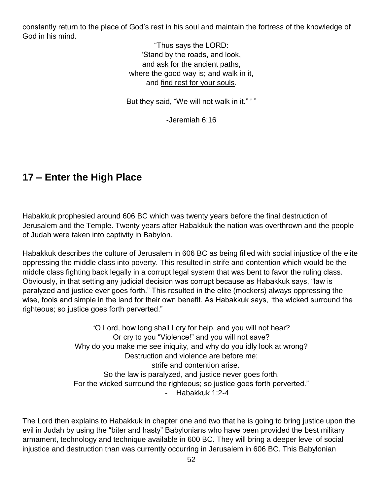constantly return to the place of God's rest in his soul and maintain the fortress of the knowledge of God in his mind.

> "Thus says the LORD: 'Stand by the roads, and look, and ask for the ancient paths, where the good way is; and walk in it, and find rest for your souls.

But they said, "We will not walk in it." '"

-Jeremiah 6:16

## **17 – Enter the High Place**

Habakkuk prophesied around 606 BC which was twenty years before the final destruction of Jerusalem and the Temple. Twenty years after Habakkuk the nation was overthrown and the people of Judah were taken into captivity in Babylon.

Habakkuk describes the culture of Jerusalem in 606 BC as being filled with social injustice of the elite oppressing the middle class into poverty. This resulted in strife and contention which would be the middle class fighting back legally in a corrupt legal system that was bent to favor the ruling class. Obviously, in that setting any judicial decision was corrupt because as Habakkuk says, "law is paralyzed and justice ever goes forth." This resulted in the elite (mockers) always oppressing the wise, fools and simple in the land for their own benefit. As Habakkuk says, "the wicked surround the righteous; so justice goes forth perverted."

> "O Lord, how long shall I cry for help, and you will not hear? Or cry to you "Violence!" and you will not save? Why do you make me see iniquity, and why do you idly look at wrong? Destruction and violence are before me; strife and contention arise. So the law is paralyzed, and justice never goes forth. For the wicked surround the righteous; so justice goes forth perverted." - Habakkuk 1:2-4

The Lord then explains to Habakkuk in chapter one and two that he is going to bring justice upon the evil in Judah by using the "biter and hasty" Babylonians who have been provided the best military armament, technology and technique available in 600 BC. They will bring a deeper level of social injustice and destruction than was currently occurring in Jerusalem in 606 BC. This Babylonian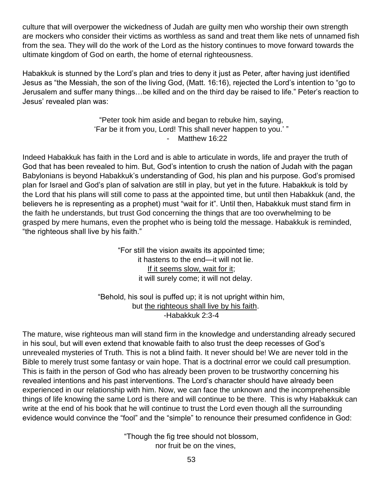culture that will overpower the wickedness of Judah are guilty men who worship their own strength are mockers who consider their victims as worthless as sand and treat them like nets of unnamed fish from the sea. They will do the work of the Lord as the history continues to move forward towards the ultimate kingdom of God on earth, the home of eternal righteousness.

Habakkuk is stunned by the Lord's plan and tries to deny it just as Peter, after having just identified Jesus as "the Messiah, the son of the living God, (Matt. 16:16), rejected the Lord's intention to "go to Jerusalem and suffer many things…be killed and on the third day be raised to life." Peter's reaction to Jesus' revealed plan was:

> "Peter took him aside and began to rebuke him, saying, 'Far be it from you, Lord! This shall never happen to you.' " - Matthew 16:22

Indeed Habakkuk has faith in the Lord and is able to articulate in words, life and prayer the truth of God that has been revealed to him. But, God's intention to crush the nation of Judah with the pagan Babylonians is beyond Habakkuk's understanding of God, his plan and his purpose. God's promised plan for Israel and God's plan of salvation are still in play, but yet in the future. Habakkuk is told by the Lord that his plans will still come to pass at the appointed time, but until then Habakkuk (and, the believers he is representing as a prophet) must "wait for it". Until then, Habakkuk must stand firm in the faith he understands, but trust God concerning the things that are too overwhelming to be grasped by mere humans, even the prophet who is being told the message. Habakkuk is reminded, "the righteous shall live by his faith."

> "For still the vision awaits its appointed time; it hastens to the end—it will not lie. If it seems slow, wait for it; it will surely come; it will not delay.

"Behold, his soul is puffed up; it is not upright within him, but the righteous shall live by his faith. -Habakkuk 2:3-4

The mature, wise righteous man will stand firm in the knowledge and understanding already secured in his soul, but will even extend that knowable faith to also trust the deep recesses of God's unrevealed mysteries of Truth. This is not a blind faith. It never should be! We are never told in the Bible to merely trust some fantasy or vain hope. That is a doctrinal error we could call presumption. This is faith in the person of God who has already been proven to be trustworthy concerning his revealed intentions and his past interventions. The Lord's character should have already been experienced in our relationship with him. Now, we can face the unknown and the incomprehensible things of life knowing the same Lord is there and will continue to be there. This is why Habakkuk can write at the end of his book that he will continue to trust the Lord even though all the surrounding evidence would convince the "fool" and the "simple" to renounce their presumed confidence in God:

> "Though the fig tree should not blossom, nor fruit be on the vines,